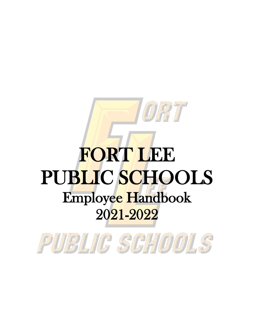# FORT LEE PUBLIC SCHOOLS Employee Handbook 2021-2022

DIR TT

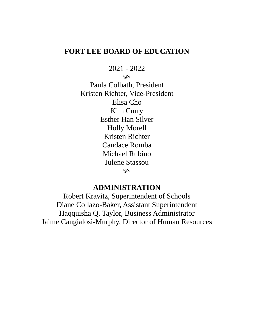# **FORT LEE BOARD OF EDUCATION**

2021 - 2022

 $\infty$ 

Paula Colbath, President Kristen Richter, Vice-President Elisa Cho Kim Curry Esther Han Silver Holly Morell Kristen Richter Candace Romba Michael Rubino Julene Stassou ھي

# **ADMINISTRATION**

Robert Kravitz, Superintendent of Schools Diane Collazo-Baker, Assistant Superintendent Haqquisha Q. Taylor, Business Administrator Jaime Cangialosi-Murphy, Director of Human Resources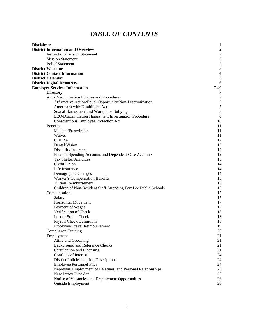# *TABLE OF CONTENTS*

| <b>Disclaimer</b>                                                | $\mathbf{1}$     |
|------------------------------------------------------------------|------------------|
| <b>District Information and Overview</b>                         | $\mathbf{c}$     |
| <b>Instructional Vision Statement</b>                            | $\overline{c}$   |
| <b>Mission Statement</b>                                         | $\overline{c}$   |
| <b>Belief Statement</b>                                          | $\overline{c}$   |
| <b>District Welcome</b>                                          | 3                |
| <b>District Contact Information</b>                              | $\overline{4}$   |
| <b>District Calendar</b>                                         | $\mathfrak s$    |
| <b>District Digital Resources</b>                                | 6                |
| <b>Employee Services Information</b>                             | $7-40$           |
| Directory                                                        | 7                |
| Anti-Discrimination Policies and Procedures                      | $\tau$           |
| Affirmative Action/Equal Opportunity/Non-Discrimination          | $\boldsymbol{7}$ |
| Americans with Disabilities Act                                  | $\boldsymbol{7}$ |
| Sexual Harassment and Workplace Bullying                         | $\,8\,$          |
| EEO/Discrimination Harassment Investigation Procedure            | 8                |
| Conscientious Employee Protection Act                            | 10               |
| <b>Benefits</b>                                                  | 11               |
| Medical/Prescription                                             | 11               |
| Waiver                                                           | 11               |
| <b>COBRA</b>                                                     | 12               |
| Dental/Vision                                                    | 12               |
| Disability Insurance                                             | 12               |
| Flexible Spending Accounts and Dependent Care Accounts           | 12               |
| <b>Tax Shelter Annuities</b>                                     | 13               |
| Credit Union                                                     | 14               |
| Life Insurance                                                   | 14               |
| Demographic Changes                                              | 14               |
| Worker's Compensation Benefits                                   | 15               |
| <b>Tuition Reimbursement</b>                                     | 15               |
| Children of Non-Resident Staff Attending Fort Lee Public Schools | 15               |
| Compensation                                                     | 17               |
| Salary                                                           | 17               |
| <b>Horizontal Movement</b>                                       | 17               |
| Payment of Wages                                                 | 17               |
| Verification of Check                                            | 18               |
| Lost or Stolen Check                                             | 18               |
| Payroll Check Definitions                                        | 18               |
| <b>Employee Travel Reimbursement</b>                             | 19               |
| <b>Compliance Training</b>                                       | 20               |
| Employment                                                       | 21               |
| Attire and Grooming                                              | 21               |
| <b>Background and Reference Checks</b>                           | 21               |
| Certification and Licensing                                      | 21               |
| Conflicts of Interest                                            | 24               |
| District Policies and Job Descriptions                           | 24               |
| <b>Employee Personnel Files</b>                                  | 24               |
| Nepotism, Employment of Relatives, and Personal Relationships    | 25               |
| New Jersey First Act                                             | 26               |
| Notice of Vacancies and Employment Opportunities                 | 26               |
| <b>Outside Employment</b>                                        | 26               |
|                                                                  |                  |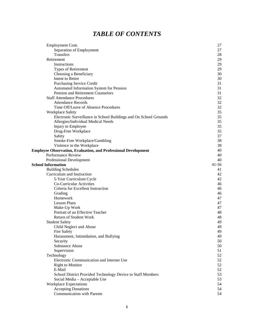# *TABLE OF CONTENTS*

| Employment Cont.                                                      | 27        |
|-----------------------------------------------------------------------|-----------|
| Separation of Employment                                              | 27        |
| Transfers                                                             | 28        |
| Retirement                                                            | 29        |
| Instructions                                                          | 29        |
| Types of Retirement                                                   | 29        |
| Choosing a Beneficiary                                                | 30        |
| Intent to Retire                                                      | 30        |
| Purchasing Service Credit                                             | 31        |
| Automated Information System for Pension                              | 31        |
| Pension and Retirement Counselors                                     | 31        |
| <b>Staff Attendance Procedures</b>                                    | 32        |
| <b>Attendance Records</b>                                             | 32        |
| Time Off/Leave of Absence Procedures                                  | 32        |
| Workplace Safety                                                      | 35        |
| Electronic Surveillance in School Buildings and On School Grounds     | 35        |
| Allergies/Individual Medical Needs                                    | 35        |
| Injury to Employee                                                    | 35        |
| Drug-Free Workplace                                                   | 35        |
| Safety                                                                | 37        |
| Smoke-Free Workplace/Gambling                                         | 38        |
| Violence in the Workplace                                             | 38        |
| <b>Employee Observation, Evaluation, and Professional Development</b> | 40        |
| Performance Review                                                    | 40        |
| <b>Professional Development</b>                                       | 40        |
| <b>School Information</b>                                             | $41 - 56$ |
| <b>Building Schedules</b>                                             | 41        |
| Curriculum and Instruction                                            | 42        |
| 5-Year Curriculum Cycle                                               | 42        |
| Co-Curricular Activities                                              | 46        |
| Criteria for Excellent Instruction                                    | 46        |
|                                                                       | 46        |
| Grading<br>Homework                                                   |           |
|                                                                       | 47        |
| <b>Lesson Plans</b>                                                   | 47        |
| Make-Up Work                                                          | 47        |
| Portrait of an Effective Teacher                                      | 48        |
| <b>Return of Student Work</b>                                         | 48        |
| <b>Student Safety</b>                                                 | 49        |
| Child Neglect and Abuse                                               | 49        |
| Fire Safety                                                           | 49        |
| Harassment, Intimidation, and Bullying                                | 49        |
| Security                                                              | 50        |
| <b>Substance Abuse</b>                                                | 50        |
| Supervision                                                           | 51        |
| Technology                                                            | 52        |
| Electronic Communication and Internet Use                             | 52        |
| <b>Right to Monitor</b>                                               | 52        |
| E-Mail                                                                | 52        |
| School District Provided Technology Device to Staff Members           | 53        |
| Social Media - Acceptable Use                                         | 53        |
| <b>Workplace Expectations</b>                                         | 54        |
| <b>Accepting Donations</b>                                            | 54        |
| Communication with Parents                                            | 54        |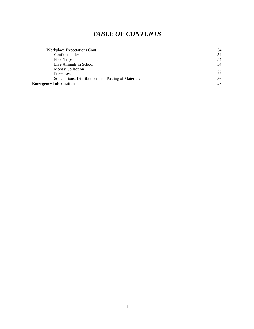# *TABLE OF CONTENTS*

| Workplace Expectations Cont.                          | 54  |
|-------------------------------------------------------|-----|
| Confidentiality                                       | 54  |
| Field Trips                                           | 54  |
| Live Animals in School                                | 54  |
| Money Collection                                      | 55  |
| Purchases                                             | 55  |
| Solicitations, Distributions and Posting of Materials | 56  |
| <b>Emergency Information</b>                          | .57 |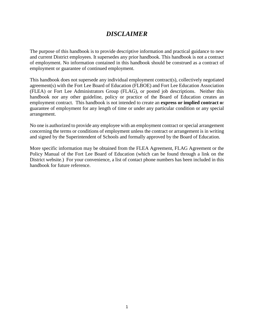# *DISCLAIMER*

The purpose of this handbook is to provide descriptive information and practical guidance to new and current District employees. It supersedes any prior handbook. This handbook is not a contract of employment. No information contained in this handbook should be construed as a contract of employment or guarantee of continued employment.

This handbook does not supersede any individual employment contract(s), collectively negotiated agreement(s) with the Fort Lee Board of Education (FLBOE) and Fort Lee Education Association (FLEA) or Fort Lee Administrators Group (FLAG), or posted job descriptions. Neither this handbook nor any other guideline, policy or practice of the Board of Education creates an employment contract. This handbook is not intended to create an **express or implied contract o**r guarantee of employment for any length of time or under any particular condition or any special arrangement.

No one is authorized to provide any employee with an employment contract or special arrangement concerning the terms or conditions of employment unless the contract or arrangement is in writing and signed by the Superintendent of Schools and formally approved by the Board of Education.

More specific information may be obtained from the FLEA Agreement, FLAG Agreement or the Policy Manual of the Fort Lee Board of Education (which can be found through a link on the District website.) For your convenience, a list of contact phone numbers has been included in this handbook for future reference.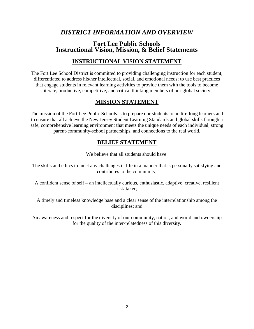# *DISTRICT INFORMATION AND OVERVIEW*

# **Fort Lee Public Schools Instructional Vision, Mission, & Belief Statements**

# **INSTRUCTIONAL VISION STATEMENT**

The Fort Lee School District is committed to providing challenging instruction for each student, differentiated to address his/her intellectual, social, and emotional needs; to use best practices that engage students in relevant learning activities to provide them with the tools to become literate, productive, competitive, and critical thinking members of our global society.

# **MISSION STATEMENT**

The mission of the Fort Lee Public Schools is to prepare our students to be life-long learners and to ensure that all achieve the New Jersey Student Learning Standards and global skills through a safe, comprehensive learning environment that meets the unique needs of each individual, strong parent-community-school partnerships, and connections to the real world.

# **BELIEF STATEMENT**

We believe that all students should have:

The skills and ethics to meet any challenges in life in a manner that is personally satisfying and contributes to the community;

A confident sense of self – an intellectually curious, enthusiastic, adaptive, creative, resilient risk-taker;

A timely and timeless knowledge base and a clear sense of the interrelationship among the disciplines; and

An awareness and respect for the diversity of our community, nation, and world and ownership for the quality of the inter-relatedness of this diversity.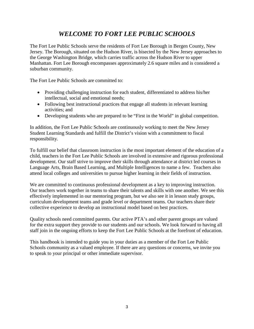# *WELCOME TO FORT LEE PUBLIC SCHOOLS*

The Fort Lee Public Schools serve the residents of Fort Lee Borough in Bergen County, New Jersey. The Borough, situated on the Hudson River, is bisected by the New Jersey approaches to the George Washington Bridge, which carries traffic across the Hudson River to upper Manhattan. Fort Lee Borough encompasses approximately 2.6 square miles and is considered a suburban community.

The Fort Lee Public Schools are committed to:

- Providing challenging instruction for each student, differentiated to address his/her intellectual, social and emotional needs;
- Following best instructional practices that engage all students in relevant learning activities; and
- Developing students who are prepared to be "First in the World" in global competition.

In addition, the Fort Lee Public Schools are continuously working to meet the New Jersey Student Learning Standards and fulfill the District's vision with a commitment to fiscal responsibility.

To fulfill our belief that classroom instruction is the most important element of the education of a child, teachers in the Fort Lee Public Schools are involved in extensive and rigorous professional development. Our staff strive to improve their skills through attendance at district led courses in Language Arts, Brain Based Learning, and Multiple Intelligences to name a few. Teachers also attend local colleges and universities to pursue higher learning in their fields of instruction.

We are committed to continuous professional development as a key to improving instruction. Our teachers work together in teams to share their talents and skills with one another. We see this effectively implemented in our mentoring program, but we also see it in lesson study groups, curriculum development teams and grade level or department teams. Our teachers share their collective experience to develop an instructional model based on best practices.

Quality schools need committed parents. Our active PTA's and other parent groups are valued for the extra support they provide to our students and our schools. We look forward to having all staff join in the ongoing efforts to keep the Fort Lee Public Schools at the forefront of education.

This handbook is intended to guide you in your duties as a member of the Fort Lee Public Schools community as a valued employee. If there are any questions or concerns, we invite you to speak to your principal or other immediate supervisor.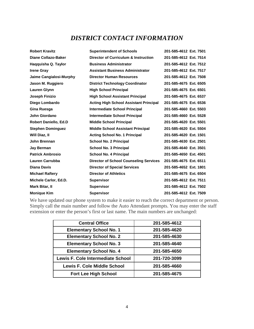# *DISTRICT CONTACT INFORMATION*

| <b>Robert Kravitz</b>        | <b>Superintendent of Schools</b>                | 201-585-4612 Ext. 7501 |
|------------------------------|-------------------------------------------------|------------------------|
| <b>Diane Collazo-Baker</b>   | <b>Director of Curriculum &amp; Instruction</b> | 201-585-4612 Ext. 7514 |
| Haqquisha Q. Taylor          | <b>Business Administrator</b>                   | 201-585-4612 Ext. 7512 |
| <b>Irene Gray</b>            | <b>Assistant Business Administrator</b>         | 201-585-4612 Ext. 7517 |
| Jaime Cangialosi-Murphy      | <b>Director Human Resources</b>                 | 201-585-4612 Ext. 7508 |
| Jason M. Ruggiero            | <b>District Technology Coordinator</b>          | 201-585-4675 Ext. 6505 |
| <b>Lauren Glynn</b>          | <b>High School Principal</b>                    | 201-585-4675 Ext. 6501 |
| Joseph Finizio               | <b>High School Assistant Principal</b>          | 201-585-4675 Ext. 6537 |
| Diego Lombardo               | <b>Acting High School Assistant Principal</b>   | 201-585-4675 Ext. 6536 |
| Gina Ruesga                  | Intermediate School Principal                   | 201-585-4660 Ext. 5503 |
| John Giordano                | <b>Intermediate School Principal</b>            | 201-585-4660 Ext. 5528 |
| <b>Robert Daniello, Ed.D</b> | <b>Middle School Principal</b>                  | 201-585-4620 Ext. 5501 |
| <b>Stephen Dominguez</b>     | <b>Middle School Assistant Principal</b>        | 201-585-4620 Ext. 5504 |
| Will Diaz, II                | <b>Acting School No. 1 Principal</b>            | 201-585-4620 Ext. 1501 |
| John Brennan                 | <b>School No. 2 Principal</b>                   | 201-585-4630 Ext. 2501 |
| <b>Jay Berman</b>            | <b>School No. 3 Principal</b>                   | 201-585-4640 Ext. 3501 |
| <b>Patrick Ambrosio</b>      | <b>School No. 4 Principal</b>                   | 201-585-4650 Ext. 4501 |
| <b>Lauren Carrubba</b>       | <b>Director of School Counseling Services</b>   | 201-585-4675 Ext. 6511 |
| <b>Diana Davis</b>           | <b>Director of Special Services</b>             | 201-585-4652 Ext. 1801 |
| <b>Michael Raftery</b>       | <b>Director of Athletics</b>                    | 201-585-4675 Ext. 6504 |
| Michele Carlor, Ed.D.        | <b>Supervisor</b>                               | 201-585-4612 Ext. 7511 |
| Mark Bitar, II               | <b>Supervisor</b>                               | 201-585-4612 Ext. 7502 |
| <b>Monique Kim</b>           | <b>Supervisor</b>                               | 201-585-4612 Ext. 7509 |

We have updated our phone system to make it easier to reach the correct department or person. Simply call the main number and follow the Auto Attendant prompts. You may enter the staff extension or enter the person's first or last name. The main numbers are unchanged:

| <b>Central Office</b>                    | 201-585-4612 |
|------------------------------------------|--------------|
| <b>Elementary School No. 1</b>           | 201-585-4620 |
| <b>Elementary School No. 2</b>           | 201-585-4630 |
| <b>Elementary School No. 3</b>           | 201-585-4640 |
| <b>Elementary School No. 4</b>           | 201-585-4650 |
| <b>Lewis F. Cole Intermediate School</b> | 201-720-3099 |
| <b>Lewis F. Cole Middle School</b>       | 201-585-4660 |
| <b>Fort Lee High School</b>              | 201-585-4675 |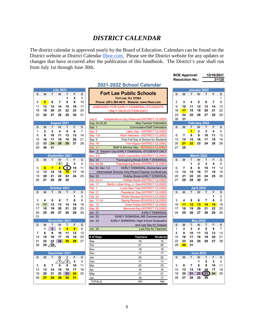# *DISTRICT CALENDAR*

The district calendar is approved yearly by the Board of Education. Calendars can be found on the District website at District Calendar flboe.com. Please see the District website for any updates or changes that have occurred after the publication of this handbook. The District's year shall run from July 1st through June 30th.

**BOE Approval:** 

10/18/2021

|                 |                  |                |          |          |                              |                                                                  |                 |          |          | <b>Resolution No.:</b> |                   |                         |          | 31120    |
|-----------------|------------------|----------------|----------|----------|------------------------------|------------------------------------------------------------------|-----------------|----------|----------|------------------------|-------------------|-------------------------|----------|----------|
|                 |                  |                |          |          |                              | 2021-2022 School Calendar                                        |                 |          |          |                        |                   |                         |          |          |
|                 | <b>July 2021</b> |                |          |          |                              |                                                                  |                 |          |          |                        |                   | January 2022            |          |          |
| т               | w                | т              | F        | s        |                              | <b>Fort Lee Public Schools</b>                                   |                 | s        | М        | т                      | W                 | т                       | F        | S        |
|                 |                  | 1              | 2        | 3        |                              | <b>Fort Lee, NJ 07024</b>                                        |                 |          |          |                        |                   |                         |          | 1        |
| 6               | 7                | 8              | 9        | 10       |                              | Phone: (201) 585-4612 Website: www.flboe.com                     |                 | 2        | 3        | 4                      | 5                 | 6                       | 7        | 8        |
| 13              | 14               | 15             | 16       | 17       |                              | (AMENDED FOR EARLY DISMISSAL-STUDENTS)                           |                 | 9        | 10       | 11                     | 12                | 13                      | 14       | 15       |
| 20              | 21               | 22             | 23       | 24       |                              | <b>ONLY ON ELECTION DAY)</b>                                     |                 | 16       | 17       | 18                     | 19                | 20                      | 21       | 22       |
| 27              | 28               | 29             | 30       | 31       |                              |                                                                  |                 | 23       | 24       | 25                     | 26                | 27                      | 28       | 29       |
|                 |                  |                |          |          | July 5                       | Independence Day Observed-DISTRICT CLOSED                        |                 | 30       | 31       |                        |                   |                         |          |          |
|                 | August 2021      |                |          |          | Aug 24,25,26                 | <b>New Teacher Orientation</b>                                   |                 |          |          |                        |                   | <b>February 2022</b>    |          |          |
| т               | W                | т              | F        | S        | Sep 1                        | <b>Convocation/Staff Orientation</b>                             |                 | s        | M        | т                      | W                 | т                       | F        | S        |
| з<br>10         | 4<br>11          | 5<br>12        | 6<br>13  | 7<br>14  | Sep 6                        | Labor Day - DISTRICT CLOSED<br>Rosh Hashana - DISTRICT CLOSED    |                 | 6        | 7        | 1<br>8                 | 2<br>9            | 3<br>10                 | 4<br>11  | 5<br>12  |
| 17              | 18               | 19             | 20       | 21       | <b>Sep 7-8</b><br>Sep 9      | First Full Day of School for Students                            |                 | 13       | 14       | 15                     | 16                | 17                      | 18       | 19       |
| 24              | 25               | 26             | 27       | 28       | Sep 16                       | Yom Kippur-DISTRICT CLOSED                                       |                 | 20       | 21       | 22                     | 23                | 24                      | 25       | 26       |
| 31              |                  |                |          |          | Oct<br>11                    | Staff In-Service Day - SCHOOLS CLOSED                            |                 | 27       | 28       |                        |                   |                         |          |          |
|                 |                  |                |          |          | $\overline{2}$<br><b>Nov</b> | Election Day-EARLY DISMISSAL-STUDENTS ONLY                       |                 |          |          |                        |                   |                         |          |          |
|                 | eptember 2021    |                |          |          | Nov 4-5                      | <b>NJEA Convention-DISTRICT CLOSED</b>                           |                 |          |          |                        | <b>March 2022</b> |                         |          |          |
| т               | W                | т              | F        | s        | <b>Nov 24</b>                | Thanksgiving Break-EARLY DISMISSAL                               |                 | s        | м        | т                      | W                 | т                       | F        | s        |
|                 | 1                | 2              | 3        | 4        | Nov 25-26                    | Thanksgiving Break-DISTRICT CLOSED                               |                 |          |          | 1                      | 2                 | 3                       | 4        | 5        |
| 7               | 8                | 9              | 10       | 11       | Nov 30, Dec 1-2              | EARLY DISMISSAL-Elementary and                                   |                 | 6        | 7        | 8                      | 9                 | 10                      | 11       | 12       |
| 14              | 15               | 16             | 17       | 18       |                              | Intermediate Schools Only-Parent/Teacher Conferences             |                 | 13       | 14       | 15                     | 16                | 17                      | 18       | 19       |
| 21              | 22               | 23             | 24       | 25       | <b>Dec 23</b>                | Holiday Break-EARLY DISMISSAL                                    |                 | 20       | 21       | 22                     | 23                | 24                      | 25       | 26       |
| 28              | 29               | 30             |          |          | Dec 24-31                    | <b>Holiday Break-DISTRICT CLOSED</b>                             |                 | 27       | 28       | 29                     | 30                | 31                      |          |          |
|                 |                  |                |          |          | 17<br>Jan                    | Martin Luther King, Jr. Day-DISTRICT CLOSED                      |                 |          |          |                        |                   |                         |          |          |
|                 | October 2021     |                |          |          | Feb<br>1                     | Lunar New Year-DISTRICT CLOSED                                   |                 |          |          |                        | <b>April 2022</b> |                         |          |          |
| т               | w                | T              | F        | s        | Feb 21                       | Presidents' Day-DISTRICT CLOSED                                  |                 | S        | М        | т                      | W                 | т                       | F        | S        |
|                 |                  |                | 1        | 2        | 22<br>Feb                    | Winter Recess-SCHOOLS CLOSED                                     |                 |          |          |                        |                   |                         | 1        | 2        |
| 5               | 6                | 7              | 8        | g        | $11 - 14$<br>Apr             | Spring Recess-SCHOOLS CLOSED                                     |                 | 3        | 4        | 5                      | 6                 | 7                       | 8        | 9        |
| 12              | 13<br>20         | 14<br>21       | 15<br>22 | 16<br>23 | 15<br>Apr                    | Good Friday-DISTRICT CLOSED                                      |                 | 10<br>17 | 11<br>18 | 12<br>19               | 13<br>20          | 14<br>21                | 15<br>22 | 16       |
| 19<br>26        | 27               | 28             | 29       | 30       | 30<br>May<br>21<br>Jun       | Memorial Day-DISTRICT CLOSED                                     |                 | 24       | 25       | 26                     | 27                | 28                      | 29       | 23<br>30 |
|                 |                  |                |          |          | <b>Jun 22</b>                | <b>EARLY DISMISSAL</b><br><b>EARLY DISMISSAL-MS Commencement</b> |                 |          |          |                        |                   |                         |          |          |
|                 | lovember 2021    |                |          |          | Jun 23                       | EARLY DISMISSAL-High School Graduation                           |                 |          |          |                        | <b>May 2022</b>   |                         |          |          |
| т               | W                | т              | F        | s        |                              | and Last Day for Classes                                         |                 | s        | M        | т                      | W                 | т                       | F        | s        |
| $\overline{2}$  | з                | 4              | 5        | 6        | Jun <sub>24</sub>            | <b>Last Day for Teachers</b>                                     |                 | 1        | 2        | 3                      | 4                 | 5                       | 6        | 7        |
| 9               | 10               | 11             | 12       | 13       |                              |                                                                  |                 | 8        | 9        | 10                     | 11                | 12                      | 13       | 14       |
| 16              | 17               | 18             | 19       | 20       | # of Days                    | <b>Teachers</b>                                                  | <b>Students</b> | 15       | 16       | 17                     | 18                | 19                      | 20       | 21       |
|                 | 24               | 25             | 26       | 27       | Sep                          | 16                                                               | 15              | 22       | 23       | 24                     | 25                | 26                      | 27       | 28       |
| $\frac{23}{30}$ |                  |                |          |          | Oct                          | 21                                                               | 20              | 29       | 30       | 31                     |                   |                         |          |          |
|                 |                  |                |          |          | Nov                          | 18                                                               | 18              |          |          |                        |                   |                         |          |          |
|                 | ecember 2021     |                |          |          | Dec                          | 17                                                               | 17              |          |          |                        | <b>June 2022</b>  |                         |          |          |
| т               | w                |                | F        | s        | Jan                          | 20                                                               | 20              | s        | м        | т                      | W                 | т                       | F        | s        |
|                 | T                | $\overline{2}$ | 3        | 4        | Feb                          | 17                                                               | 17              |          |          |                        | 1                 | $\overline{\mathbf{2}}$ | 3        | 4        |
| 7               | 8                | 9              | 10       | 11       | Mar                          | 23                                                               | 23              | 5        | 6        | 7                      | 8                 | 9                       | 10       | 11       |
| 14              | 15               | 16             | 17       | 18       | Apr                          | 16                                                               | 16              | 12       | 13       | 14                     | 15                | 16                      | 17       | 18       |
| 21              | 22               | 23             | 24       | 25       | May                          | 21                                                               | 21              | 19       | 20       | 21                     | 22                | 23                      | 24       | 25       |
| 28              | 29               | 30             | 31       |          | Jun<br><b>TOTALS</b>         | 18<br>187                                                        | 17<br>184       | 26       | 27       | 28                     | 29                | 30                      |          |          |
|                 |                  |                |          |          |                              |                                                                  |                 |          |          |                        |                   |                         |          |          |
|                 |                  |                |          |          |                              |                                                                  |                 |          |          |                        |                   |                         |          |          |

|    |                 |                 |              | ш              | ۷           | o  |
|----|-----------------|-----------------|--------------|----------------|-------------|----|
| 4  | 5               | 6               | 7            | 8              | 9           | 10 |
| 11 | 12              | 13              | 14           | 15             | 16          | 17 |
| 18 | 19              | 20              | 21           | 22             | 23          | 24 |
| 25 | 26              | 27              | 28           | 29             | 30          | 31 |
|    |                 |                 |              |                |             |    |
|    |                 |                 | August 2021  |                |             |    |
| s  | м               | т               | w            | T              | F           | s  |
| 1  | 2               | 3               | 4            | 5              | 6           | 7  |
| 8  | 9               | 10              | 11           | 12             | 13          | 14 |
| 15 | 16              | 17              | 18           | 19             | 20          | 21 |
| 22 | 23              | 24              | 25           | 26             | 27          | 28 |
| 29 | 30              | 31              |              |                |             |    |
|    |                 |                 |              |                |             |    |
|    |                 |                 |              | September 2021 |             |    |
| s  | М               | т               | w            | T              | F           | s  |
|    |                 |                 | 1            | 2              | 3           | 4  |
| 5  | $-6$            | $\overline{7}$  | 8            | 9              | 10          | 11 |
| 12 | 13              | 14              | 15           | 16             | 17          | 18 |
| 19 | 20              | 21              | 22           | 23             | 24          | 25 |
| 26 | 27              | 28              | 29           | 30             |             |    |
|    |                 |                 | October 2021 |                |             |    |
| s  | M               | т.              | W            | т              | F           | s  |
|    |                 |                 |              |                | 1           | 2  |
| 3  | 4               | 5               | 6            | 7              | 8           | 9  |
| 10 | 11 <sup>1</sup> | 12              | 13           | 14             | 15          | 16 |
| 17 | 18              | 19              | 20           | 21             | 22          | 23 |
| 24 | 25              | 26              | 27           | 28             | 29          | 30 |
| 31 |                 |                 |              |                |             |    |
|    |                 |                 |              | November 2021  |             |    |
| s  | м               | т               | w            | т              | F           | s  |
|    | 1               | $\overline{2}$  | 3            | 4              | $5^{\circ}$ | 6  |
| 7  | 8               | 9               | 10           | 11             | 12          | 13 |
| 14 | 15              | 16              | 17           | 18             | 19          | 20 |
| 21 | 22              | 23              | 24           | 25             | 26          | 27 |
| 28 | 29              | 30 <sub>2</sub> |              |                |             |    |
|    |                 |                 |              |                |             |    |
|    |                 |                 |              | December 2021  |             |    |
| s  | м               | т               | W            | Ţ              | F           | s  |
|    |                 |                 | 1            | 2              | 3           | 4  |
| 5  | 6               | 7               | 8            | 9              | 10          | 11 |
| 12 | 13              | 14              | 15           | 16             | 17          | 18 |
| 19 | 20              | 21              | 22           | 23             | 24          | 25 |
| 26 | 27              | 28              | 29           | $30-1$         | 31          |    |
|    |                 |                 |              |                |             |    |

 $S$   $M$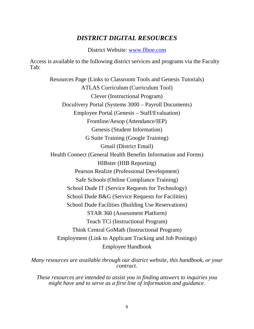# *DISTRICT DIGITAL RESOURCES*

District Website: [www.flboe.com](http://www.flboe.com/)

Access is available to the following district services and programs via the Faculty Tab:

Resources Page (Links to Classroom Tools and Genesis Tutorials) ATLAS Curriculum (Curriculum Tool) Clever (Instructional Program) Doculivery Portal (Systems 3000 – Payroll Documents) Employee Portal (Genesis – Staff/Evaluation) Frontline/Aesop (Attendance/IEP) Genesis (Student Information) G Suite Training (Google Training) Gmail (District Email) Health Connect (General Health Benefits Information and Forms) HIBster (HIB Reporting) Pearson Realize (Professional Development) Safe Schools (Online Compliance Training) School Dude IT (Service Requests for Technology) School Dude B&G (Service Requests for Facilities) School Dude Facilities (Building Use Reservations) STAR 360 (Assessment Platform) Teach TCi (Instructional Program) Think Central GoMath (Instructional Program) Employment (Link to Applicant Tracking and Job Postings) Employee Handbook

*Many resources are available through our district website, this handbook, or your contract.* 

*These resources are intended to assist you in finding answers to inquiries you might have and to serve as a first line of information and guidance*.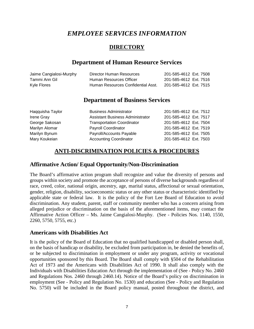# *EMPLOYEE SERVICES INFORMATION*

# **DIRECTORY**

# **Department of Human Resource Services**

| Jaime Cangialosi-Murphy | Director Human Resources           | 201-585-4612 Ext. 7508 |
|-------------------------|------------------------------------|------------------------|
| Tammi Ann Gil           | Human Resources Officer            | 201-585-4612 Ext. 7516 |
| Kyle Flores             | Human Resources Confidential Asst. | 201-585-4612 Ext. 7515 |

# **Department of Business Services**

| <b>Business Administrator</b>           | 201-585-4612 Ext. 7512 |
|-----------------------------------------|------------------------|
| <b>Assistant Business Administrator</b> | 201-585-4612 Ext. 7517 |
| <b>Transportation Coordinator</b>       | 201-585-4612 Ext. 7504 |
| <b>Payroll Coordinator</b>              | 201-585-4612 Ext. 7519 |
| Payroll/Accounts Payable                | 201-585-4612 Ext. 7505 |
| <b>Accounting Coordinator</b>           | 201-585-4612 Ext. 7503 |
|                                         |                        |

# **ANTI-DISCRIMINATION POLICIES & PROCEDURES**

# **Affirmative Action/ Equal Opportunity/Non-Discrimination**

The Board's affirmative action program shall recognize and value the diversity of persons and groups within society and promote the acceptance of persons of diverse backgrounds regardless of race, creed, color, national origin, ancestry, age, marital status, affectional or sexual orientation, gender, religion, disability, socioeconomic status or any other status or characteristic identified by applicable state or federal law. It is the policy of the Fort Lee Board of Education to avoid discrimination. Any student, parent, staff or community member who has a concern arising from alleged prejudice or discrimination on the basis of the aforementioned items, may contact the Affirmative Action Officer – Ms. Jaime Cangialosi-Murphy. (See - Policies Nos. 1140, 1550, 2260, 5750, 5755, etc.)

# **Americans with Disabilities Act**

It is the policy of the Board of Education that no qualified handicapped or disabled person shall, on the basis of handicap or disability, be excluded from participation in, be denied the benefits of, or be subjected to discrimination in employment or under any program, activity or vocational opportunities sponsored by this Board. The Board shall comply with §504 of the Rehabilitation Act of 1973 and the Americans with Disabilities Act of 1990. It shall also comply with the Individuals with Disabilities Education Act through the implementation of (See - Policy No. 2460 and Regulations Nos. 2460 through 2460.14). Notice of the Board's policy on discrimination in employment (See - Policy and Regulation No. 1530) and education (See - Policy and Regulation No. 5750) will be included in the Board policy manual, posted throughout the district, and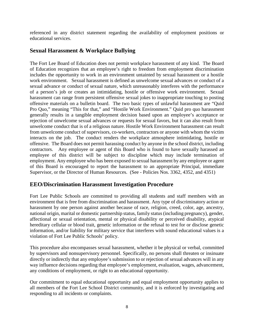referenced in any district statement regarding the availability of employment positions or educational services.

# **Sexual Harassment & Workplace Bullying**

The Fort Lee Board of Education does not permit workplace harassment of any kind. The Board of Education recognizes that an employee's right to freedom from employment discrimination includes the opportunity to work in an environment untainted by sexual harassment or a hostile work environment. Sexual harassment is defined as unwelcome sexual advances or conduct of a sexual advance or conduct of sexual nature, which unreasonably interferes with the performance of a person's job or creates an intimidating, hostile or offensive work environment. Sexual harassment can range from persistent offensive sexual jokes to inappropriate touching to posting offensive materials on a bulletin board. The two basic types of unlawful harassment are "Quid Pro Quo," meaning "This for that," and "Hostile Work Environment." Quid pro quo harassment generally results in a tangible employment decision based upon an employee's acceptance or rejection of unwelcome sexual advances or requests for sexual favors, but it can also result from unwelcome conduct that is of a religious nature. Hostile Work Environment harassment can result from unwelcome conduct of supervisors, co-workers, contractors or anyone with whom the victim interacts on the job. The conduct renders the workplace atmosphere intimidating, hostile or offensive. The Board does not permit harassing conduct by anyone in the school district, including contractors. Any employee or agent of this Board who is found to have sexually harassed an employee of this district will be subject to discipline which may include termination of employment. Any employee who has been exposed to sexual harassment by any employee or agent of this Board is encouraged to report the harassment to an appropriate Principal, immediate Supervisor, or the Director of Human Resources. (See - Policies Nos. 3362, 4352, and 4351)

# **EEO/Discrimination Harassment Investigation Procedure**

Fort Lee Public Schools are committed to providing all students and staff members with an environment that is free from discrimination and harassment. Any type of discriminatory action or harassment by one person against another because of race, religion, creed, color, age, ancestry, national origin, marital or domestic partnership status, family status (including pregnancy), gender, affectional or sexual orientation, mental or physical disability or perceived disability, atypical hereditary cellular or blood trait, genetic information or the refusal to test for or disclose genetic information, and/or liability for military service that interferes with sound educational values is a violation of Fort Lee Public Schools' policy.

This procedure also encompasses sexual harassment, whether it be physical or verbal, committed by supervisors and nonsupervisory personnel. Specifically, no persons shall threaten or insinuate directly or indirectly that any employee's submission to or rejection of sexual advances will in any way influence decisions regarding that employee's employment, evaluation, wages, advancement, any conditions of employment, or right to an educational opportunity.

Our commitment to equal educational opportunity and equal employment opportunity applies to all members of the Fort Lee School District community, and it is enforced by investigating and responding to all incidents or complaints.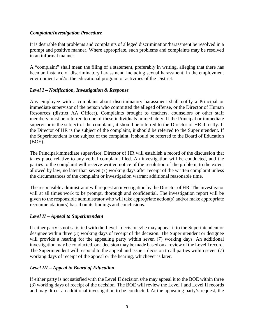#### *Complaint/Investigation Procedure*

It is desirable that problems and complaints of alleged discrimination/harassment be resolved in a prompt and positive manner. Where appropriate, such problems and complaints may be resolved in an informal manner.

A "complaint" shall mean the filing of a statement, preferably in writing, alleging that there has been an instance of discriminatory harassment, including sexual harassment, in the employment environment and/or the educational program or activities of the District.

## *Level I – Notification, Investigation & Response*

Any employee with a complaint about discriminatory harassment shall notify a Principal or immediate supervisor of the person who committed the alleged offense, or the Director of Human Resources (district AA Officer). Complaints brought to teachers, counselors or other staff members must be referred to one of these individuals immediately. If the Principal or immediate supervisor is the subject of the complaint, it should be referred to the Director of HR directly. If the Director of HR is the subject of the complaint, it should be referred to the Superintendent. If the Superintendent is the subject of the complaint, it should be referred to the Board of Education (BOE).

The Principal/immediate supervisor, Director of HR will establish a record of the discussion that takes place relative to any verbal complaint filed. An investigation will be conducted, and the parties to the complaint will receive written notice of the resolution of the problem, to the extent allowed by law, no later than seven (7) working days after receipt of the written complaint unless the circumstances of the complaint or investigation warrant additional reasonable time.

The responsible administrator will request an investigation by the Director of HR. The investigator will at all times work to be prompt, thorough and confidential. The investigation report will be given to the responsible administrator who will take appropriate action(s) and/or make appropriate recommendation(s) based on its findings and conclusions.

## *Level II – Appeal to Superintendent*

If either party is not satisfied with the Level I decision s/he may appeal it to the Superintendent or designee within three (3) working days of receipt of the decision. The Superintendent or designee will provide a hearing for the appealing party within seven (7) working days. An additional investigation may be conducted, or a decision may be made based on a review of the Level I record. The Superintendent will respond to the appeal and issue a decision to all parties within seven (7) working days of receipt of the appeal or the hearing, whichever is later.

## *Level III – Appeal to Board of Education*

If either party is not satisfied with the Level II decision s/he may appeal it to the BOE within three (3) working days of receipt of the decision. The BOE will review the Level I and Level II records and may direct an additional investigation to be conducted. At the appealing party's request, the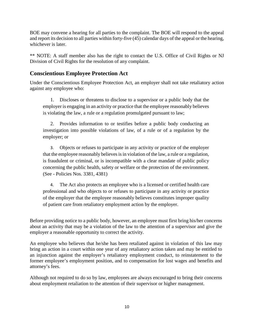BOE may convene a hearing for all parties to the complaint. The BOE will respond to the appeal and report its decision to all parties within forty-five (45) calendar days of the appeal or the hearing, whichever is later.

\*\* NOTE: A staff member also has the right to contact the U.S. Office of Civil Rights or NJ Division of Civil Rights for the resolution of any complaint.

# **Conscientious Employee Protection Act**

Under the Conscientious Employee Protection Act, an employer shall not take retaliatory action against any employee who:

1. Discloses or threatens to disclose to a supervisor or a public body that the employer is engaging in an activity or practice that the employee reasonably believes is violating the law, a rule or a regulation promulgated pursuant to law;

2. Provides information to or testifies before a public body conducting an investigation into possible violations of law, of a rule or of a regulation by the employer; or

3. Objects or refuses to participate in any activity or practice of the employer that the employee reasonably believes is in violation of the law, a rule or a regulation, is fraudulent or criminal, or is incompatible with a clear mandate of public policy concerning the public health, safety or welfare or the protection of the environment. (See - Policies Nos. 3381, 4381)

4. The Act also protects an employee who is a licensed or certified health care professional and who objects to or refuses to participate in any activity or practice of the employer that the employee reasonably believes constitutes improper quality of patient care from retaliatory employment action by the employer.

Before providing notice to a public body, however, an employee must first bring his/her concerns about an activity that may be a violation of the law to the attention of a supervisor and give the employer a reasonable opportunity to correct the activity.

An employee who believes that he/she has been retaliated against in violation of this law may bring an action in a court within one year of any retaliatory action taken and may be entitled to an injunction against the employer's retaliatory employment conduct, to reinstatement to the former employee's employment position, and to compensation for lost wages and benefits and attorney's fees.

Although not required to do so by law, employees are always encouraged to bring their concerns about employment retaliation to the attention of their supervisor or higher management.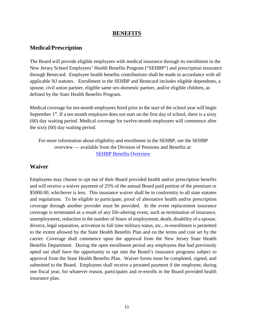## **BENEFITS**

## **Medical/Prescription**

The Board will provide eligible employees with medical insurance through its enrollment in the New Jersey School Employees' Health Benefits Program ("SEHBP") and prescription insurance through Benecard. Employee health benefits contributions shall be made in accordance with all applicable NJ statutes. Enrollment in the SEHBP and Benecard includes eligible dependents, a spouse, civil union partner, eligible same sex-domestic partner, and/or eligible children, as defined by the State Health Benefits Program.

Medical coverage for ten-month employees hired prior to the start of the school year will begin September  $1<sup>st</sup>$ . If a ten month employee does not start on the first day of school, there is a sixty (60) day waiting period. Medical coverage for twelve-month employees will commence after the sixty (60) day waiting period.

For more information about eligibility and enrollment in the SEHBP, see the SEHBP overview — available from the Division of Pensions and Benefits at: [SEHBP Benefits Overview](https://www.horizonblue.com/shbp/plans/benefits-overview)

## **Waiver**

Employees may choose to opt out of their Board provided health and/or prescription benefits and will receive a waiver payment of 25% of the annual Board paid portion of the premium or \$5000.00, whichever is less. This insurance waiver shall be in conformity to all state statutes and regulations. To be eligible to participate, proof of alternative health and/or prescription coverage through another provider must be provided. In the event replacement insurance coverage is terminated as a result of any life-altering event, such as termination of insurance, unemployment, reduction in the number of hours of employment, death, disability of a spouse, divorce, legal separation, activation to full time military status, etc., re-enrollment is permitted to the extent allowed by the State Health Benefits Plan and on the terms and cost set by the carrier. Coverage shall commence upon the approval from the New Jersey State Health Benefits Department. During the open enrollment period any employees that had previously opted out shall have the opportunity to opt into the Board's insurance programs subject to approval from the State Health Benefits Plan. Waiver forms must be completed, signed, and submitted to the Board. Employees shall receive a prorated payment if the employee, during one fiscal year, for whatever reason, participates and re-enrolls in the Board provided health insurance plan.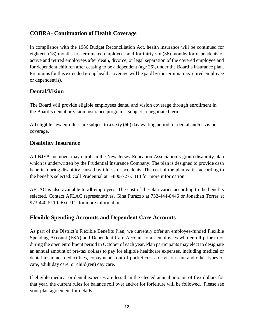# **COBRA**- **Continuation of Health Coverage**

In compliance with the 1986 Budget Reconciliation Act, health insurance will be continued for eighteen (18) months for terminated employees and for thirty-six (36) months for dependents of active and retired employees after death, divorce, or legal separation of the covered employee and for dependent children after ceasing to be a dependent (age 26), under the Board's insurance plan. Premiums for this extended group health coverage will be paid by the terminating/retired employee or dependent(s).

# **Dental/Vision**

The Board will provide eligible employees dental and vision coverage through enrollment in the Board's dental or vision insurance programs, subject to negotiated terms.

All eligible new enrollees are subject to a sixty (60) day waiting period for dental and/or vision coverage.

## **Disability Insurance**

All NJEA members may enroll in the New Jersey Education Association's group disability plan which is underwritten by the Prudential Insurance Company. The plan is designed to provide cash benefits during disability caused by illness or accidents. The cost of the plan varies according to the benefits selected. Call Prudential at 1-800-727-3414 for more information.

AFLAC is also available to **all** employees. The cost of the plan varies according to the benefits selected. Contact AFLAC representatives, Gina Purazzo at 732-444-8446 or Jonathan Torres at 973-440-5110. Ext.711, for more information.

# **Flexible Spending Accounts and Dependent Care Accounts**

As part of the District's Flexible Benefits Plan, we currently offer an employee-funded Flexible Spending Account (FSA) and Dependent Care Account to all employees who enroll prior to or during the open enrollment period in October of each year. Plan participants may elect to designate an annual amount of pre-tax dollars to pay for eligible healthcare expenses, including medical or dental insurance deductibles, copayments, out-of-pocket costs for vision care and other types of care, adult day care, or child(ren) day care.

If eligible medical or dental expenses are less than the elected annual amount of flex dollars for that year, the current rules for balance roll over and/or for forfeiture will be followed. Please see your plan agreement for details.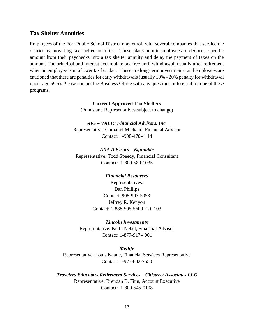#### **Tax Shelter Annuities**

Employees of the Fort Public School District may enroll with several companies that service the district by providing tax shelter annuities. These plans permit employees to deduct a specific amount from their paychecks into a tax shelter annuity and delay the payment of taxes on the amount. The principal and interest accumulate tax free until withdrawal, usually after retirement when an employee is in a lower tax bracket. These are long-term investments, and employees are cautioned that there are penalties for early withdrawals (usually 10% - 20% penalty for withdrawal under age 59.5). Please contact the Business Office with any questions or to enroll in one of these programs.

#### **Current Approved Tax Shelters**

(Funds and Representatives subject to change)

#### *AIG – VALIC Financial Advisors, Inc.*

Representative: Gamaliel Michaud, Financial Advisor Contact: 1-908-470-4114

*AXA Advisors – Equitable* Representative: Todd Speedy, Financial Consultant Contact: 1-800-589-1035

#### *Financial Resources*

Representatives: Dan Phillips Contact: 908-907-5053 Jeffrey R. Kenyon Contact: 1-888-505-5600 Ext. 103

#### *Lincoln Investments*

Representative: Keith Nebel, Financial Advisor Contact: 1-877-917-4001

#### *Metlife*

Representative: Louis Natale, Financial Services Representative Contact: 1-973-882-7550

*Travelers Educators Retirement Services – Citistreet Associates LLC* Representative: Brendan B. Finn, Account Executive Contact: 1-800-545-0108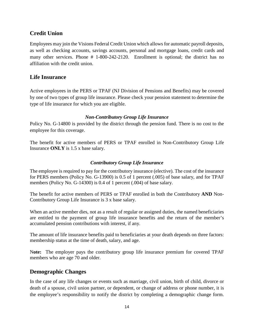# **Credit Union**

Employees may join the Visions Federal Credit Union which allows for automatic payroll deposits, as well as checking accounts, savings accounts, personal and mortgage loans, credit cards and many other services. Phone # 1-800-242-2120. Enrollment is optional; the district has no affiliation with the credit union.

# **Life Insurance**

Active employees in the PERS or TPAF (NJ Division of Pensions and Benefits) may be covered by one of two types of group life insurance. Please check your pension statement to determine the type of life insurance for which you are eligible.

## *Non-Contributory Group Life Insurance*

Policy No. G-14800 is provided by the district through the pension fund. There is no cost to the employee for this coverage.

The benefit for active members of PERS or TPAF enrolled in Non-Contributory Group Life Insurance **ONLY** is 1.5 x base salary.

## *Contributory Group Life Insurance*

The employee is required to pay for the contributory insurance (elective). The cost of the insurance for PERS members (Policy No. G-13900) is 0.5 of 1 percent (.005) of base salary, and for TPAF members (Policy No. G-14300) is 0.4 of 1 percent (.004) of base salary.

The benefit for active members of PERS or TPAF enrolled in both the Contributory **AND** Non-Contributory Group Life Insurance is 3 x base salary.

When an active member dies, not as a result of regular or assigned duties, the named beneficiaries are entitled to the payment of group life insurance benefits and the return of the member's accumulated pension contributions with interest, if any.

The amount of life insurance benefits paid to beneficiaries at your death depends on three factors: membership status at the time of death, salary, and age.

N**ote:** The employer pays the contributory group life insurance premium for covered TPAF members who are age 70 and older.

# **Demographic Changes**

In the case of any life changes or events such as marriage, civil union, birth of child, divorce or death of a spouse, civil union partner, or dependent, or change of address or phone number, it is the employee's responsibility to notify the district by completing a demographic change form.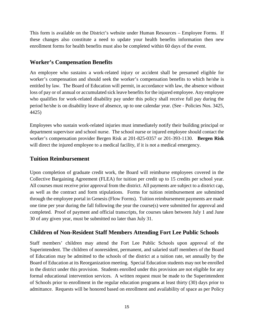This form is available on the District's website under Human Resources – Employee Forms. If these changes also constitute a need to update your health benefits information then new enrollment forms for health benefits must also be completed within 60 days of the event.

# **Worker's Compensation Benefits**

An employee who sustains a work-related injury or accident shall be presumed eligible for worker's compensation and should seek the worker's compensation benefits to which he/she is entitled by law. The Board of Education will permit, in accordance with law, the absence without loss of pay or of annual or accumulated sick leave benefits for the injured employee. Any employee who qualifies for work-related disability pay under this policy shall receive full pay during the period he/she is on disability leave of absence, up to one calendar year. (See - Policies Nos. 3425, 4425)

Employees who sustain work-related injuries must immediately notify their building principal or department supervisor and school nurse. The school nurse or injured employee should contact the worker's compensation provider Bergen Risk at 201-825-0357 or 201-393-1130. **Bergen Risk** will direct the injured employee to a medical facility, if it is not a medical emergency.

# **Tuition Reimbursement**

Upon completion of graduate credit work, the Board will reimburse employees covered in the Collective Bargaining Agreement (FLEA) for tuition per credit up to 15 credits per school year. All courses must receive prior approval from the district. All payments are subject to a district cap, as well as the contract and form stipulations. Forms for tuition reimbursement are submitted through the employee portal in Genesis (Flow Forms). Tuition reimbursement payments are made one time per year during the fall following the year the course(s) were submitted for approval and completed. Proof of payment and official transcripts, for courses taken between July 1 and June 30 of any given year, must be submitted no later than July 31.

# **Children of Non-Resident Staff Members Attending Fort Lee Public Schools**

Staff members' children may attend the Fort Lee Public Schools upon approval of the Superintendent. The children of nonresident, permanent, and salaried staff members of the Board of Education may be admitted to the schools of the district at a tuition rate, set annually by the Board of Education at its Reorganization meeting. Special Education students may not be enrolled in the district under this provision. Students enrolled under this provision are not eligible for any formal educational intervention services. A written request must be made to the Superintendent of Schools prior to enrollment in the regular education programs at least thirty (30) days prior to admittance. Requests will be honored based on enrollment and availability of space as per Policy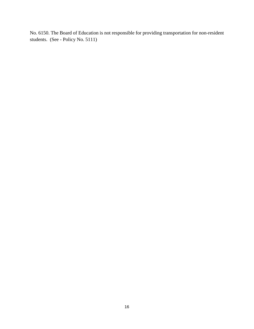No. 6150. The Board of Education is not responsible for providing transportation for non-resident students. (See - Policy No. 5111)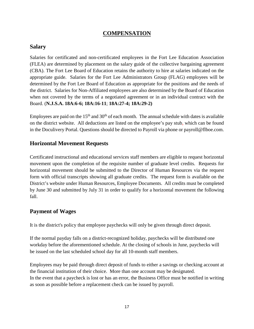# **COMPENSATION**

## **Salary**

Salaries for certificated and non-certificated employees in the Fort Lee Education Association (FLEA) are determined by placement on the salary guide of the collective bargaining agreement (CBA). The Fort Lee Board of Education retains the authority to hire at salaries indicated on the appropriate guide. Salaries for the Fort Lee Administrators Group (FLAG) employees will be determined by the Fort Lee Board of Education as appropriate for the positions and the needs of the district. Salaries for Non-Affiliated employees are also determined by the Board of Education when not covered by the terms of a negotiated agreement or in an individual contract with the Board. (**N.J.S.A. 18A:6-6; 18A:16-11**; **18A:27-4; 18A:29-2)**

Employees are paid on the  $15<sup>th</sup>$  and  $30<sup>th</sup>$  of each month. The annual schedule with dates is available on the district website. All deductions are listed on the employee's pay stub, which can be found in the Doculivery Portal. Questions should be directed to Payroll via phone or payroll@flboe.com.

## **Horizontal Movement Requests**

Certificated instructional and educational services staff members are eligible to request horizontal movement upon the completion of the requisite number of graduate level credits. Requests for horizontal movement should be submitted to the Director of Human Resources via the request form with official transcripts showing all graduate credits. The request form is available on the District's website under Human Resources, Employee Documents. All credits must be completed by June 30 and submitted by July 31 in order to qualify for a horizontal movement the following fall.

# **Payment of Wages**

It is the district's policy that employee paychecks will only be given through direct deposit.

If the normal payday falls on a district-recognized holiday, paychecks will be distributed one workday before the aforementioned schedule. At the closing of schools in June*,* paychecks will be issued on the last scheduled school day for all 10-month staff members.

Employees may be paid through direct deposit of funds to either a savings or checking account at the financial institution of their choice. More than one account may be designated. In the event that a paycheck is lost or has an error, the Business Office must be notified in writing as soon as possible before a replacement check can be issued by payroll.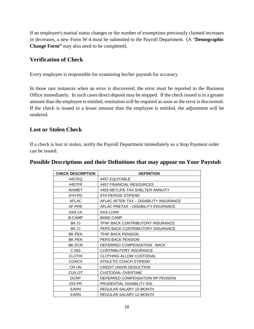If an employee's marital status changes or the number of exemptions previously claimed increases or decreases, a new Form W-4 must be submitted to the Payroll Department. (A "**Demographic Change Form"** may also need to be completed).

# **Verification of Check**

Every employee is responsible for examining his/her paystub for accuracy.

In those rare instances when an error is discovered, the error must be reported to the Business Office immediately. In such cases direct deposit may be stopped. If the check issued is in a greater amount than the employee is entitled, restitution will be required as soon as the error is discovered. If the check is issued in a lesser amount than the employee is entitled, the adjustment will be rendered.

# **Lost or Stolen Check**

If a check is lost or stolen*,* notify the Payroll Department immediately so a Stop Payment order can be issued.

| <b>CHECK DESCRIPTION</b> | <b>DEFINITION</b>                      |
|--------------------------|----------------------------------------|
| #457EQ                   | #457 EQUITABLE                         |
| #457FR                   | #457 FINANCIAL RESOURCES               |
| 403MET                   | #403 METLIFE-TAX SHELTER ANNUITY       |
| 6TH-PD                   | <b>6TH PERIOD STIPEND</b>              |
| <b>AFLAC</b>             | AFLAC AFTER TAX - DISABILITY INSURANCE |
| AF-PRE                   | AFLAC PRETAX - DISABILITY INSURANCE    |
| AXA LN                   | AXA LOAN                               |
| <b>B-CAMP</b>            | <b>BAND CAMP</b>                       |
| <b>BK CI</b>             | TPAF BACK CONTRIBUTORY INSURANCE       |
| <b>BK CI</b>             | PERS BACK CONTRIBUTORY INSURANCE       |
| <b>BK PEN</b>            | TPAF BACK PENSION                      |
| <b>BK PEN</b>            | PERS BACK PENSION                      |
| <b>BK-DCR</b>            | DEFERRED COMPENSATION - BACK           |
| C-INS                    | CONTRIBUTORY INSURANCE                 |
| <b>CLOTHI</b>            | <b>CLOTHING ALLOW CUSTODIAL</b>        |
| <b>COACH</b>             | ATHLETIC COACH STIPEND                 |
| CR UN                    | CREDIT UNION DEDUCTION                 |
| CUS OT                   | <b>CUSTODIAL OVERTIME</b>              |
| <b>DCRP</b>              | DEFERRED COMPENSATION RP PENSION       |
| DIS-PR                   | PRUDENTIAL DISABILITY INS.             |
| EARN                     | REGULAR SALARY 10-MONTH                |
| EARN                     | REGULAR SALARY 12-MONTH                |

## **Possible Descriptions and their Definitions that may appear on Your Paystub**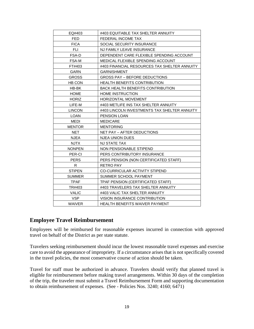| EQ#403        | #403 EQUITABLE TAX SHELTER ANNUITY           |
|---------------|----------------------------------------------|
| FED           | FEDERAL INCOME TAX                           |
| <b>FICA</b>   | SOCIAL SECURITY INSURANCE                    |
| <b>FLI</b>    | NJ FAMILY LEAVE INSURANCE                    |
| FSA-D         | DEPENDENT CARE FLEXIBLE SPENDING ACCOUNT     |
| FSA-M         | MEDICAL FLEXIBLE SPENDING ACCOUNT            |
| FT#403        | #403 FINANCIAL RESOURCES TAX SHELTER ANNUITY |
| <b>GARN</b>   | <b>GARNISHMENT</b>                           |
| <b>GROSS</b>  | <b>GROSS PAY - BEFORE DEDUCTIONS</b>         |
| <b>HB CON</b> | <b>HEALTH BENEFITS CONTRIBUTION</b>          |
| HB-BK         | <b>BACK HEALTH BENEFITS CONTRIBUTION</b>     |
| <b>HOME</b>   | <b>HOME INSTRUCTION</b>                      |
| <b>HORIZ</b>  | <b>HORIZONTAL MOVEMENT</b>                   |
| LIFE-M        | #403 METLIFE INS TAX SHELTER ANNUITY         |
| <b>LINCON</b> | #403 LINCOLN INVESTMENTS TAX SHELTER ANNUITY |
| <b>LOAN</b>   | PENSION LOAN                                 |
| <b>MEDI</b>   | <b>MEDICARE</b>                              |
| <b>MENTOR</b> | <b>MENTORING</b>                             |
| <b>NET</b>    | NET PAY - AFTER DEDUCTIONS                   |
| <b>NJEA</b>   | <b>NJEA UNION DUES</b>                       |
| <b>NJTX</b>   | NJ STATE TAX                                 |
| <b>NONPEN</b> | NON PENSIONABLE STIPEND                      |
| PER-CI        | PERS CONTRIBUTORY INSURANCE                  |
| <b>PERS</b>   | PERS PENSION (NON CERTIFICATED STAFF)        |
| R             | <b>RETRO PAY</b>                             |
| <b>STIPEN</b> | <b>CO-CURRICULAR ACTIVITY STIPEND</b>        |
| <b>SUMMER</b> | SUMMER SCHOOL PAYMENT                        |
| <b>TPAF</b>   | TPAF PENSION (CERTIFICATED STAFF)            |
| TR#403        | #403 TRAVELERS TAX SHELTER ANNUITY           |
| <b>VALIC</b>  | #403 VALIC TAX SHELTER ANNUITY               |
| <b>VSP</b>    | VISION INSURANCE CONTRIBUTION                |
| <b>WAIVER</b> | <b>HEALTH BENEFITS WAIVER PAYMENT</b>        |

## **Employee Travel Reimbursement**

Employees will be reimbursed for reasonable expenses incurred in connection with approved travel on behalf of the District as per state statute.

Travelers seeking reimbursement should incur the lowest reasonable travel expenses and exercise care to avoid the appearance of impropriety. If a circumstance arises that is not specifically covered in the travel policies, the most conservative course of action should be taken.

Travel for staff must be authorized in advance. Travelers should verify that planned travel is eligible for reimbursement before making travel arrangements. Within 30 days of the completion of the trip, the traveler must submit a Travel Reimbursement Form and supporting documentation to obtain reimbursement of expenses. (See - Policies Nos. 3240; 4160; 6471)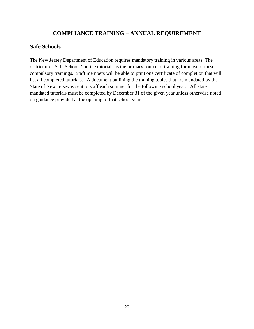# **COMPLIANCE TRAINING – ANNUAL REQUIREMENT**

## **Safe Schools**

The New Jersey Department of Education requires mandatory training in various areas. The district uses Safe Schools' online tutorials as the primary source of training for most of these compulsory trainings. Staff members will be able to print one certificate of completion that will list all completed tutorials. A document outlining the training topics that are mandated by the State of New Jersey is sent to staff each summer for the following school year. All state mandated tutorials must be completed by December 31 of the given year unless otherwise noted on guidance provided at the opening of that school year.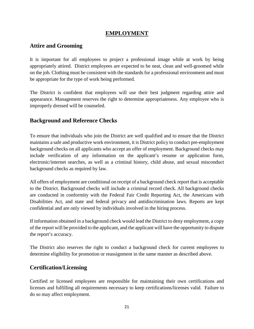# **EMPLOYMENT**

# **Attire and Grooming**

It is important for all employees to project a professional image while at work by being appropriately attired. District employees are expected to be neat, clean and well-groomed while on the job. Clothing must be consistent with the standards for a professional environment and must be appropriate for the type of work being performed.

The District is confident that employees will use their best judgment regarding attire and appearance. Management reserves the right to determine appropriateness. Any employee who is improperly dressed will be counseled.

# **Background and Reference Checks**

To ensure that individuals who join the District are well qualified and to ensure that the District maintains a safe and productive work environment, it is District policy to conduct pre-employment background checks on all applicants who accept an offer of employment. Background checks may include verification of any information on the applicant's resume or application form, electronic/internet searches, as well as a criminal history, child abuse, and sexual misconduct background checks as required by law.

All offers of employment are conditional on receipt of a background check report that is acceptable to the District. Background checks will include a criminal record check. All background checks are conducted in conformity with the Federal Fair Credit Reporting Act, the Americans with Disabilities Act, and state and federal privacy and antidiscrimination laws. Reports are kept confidential and are only viewed by individuals involved in the hiring process.

If information obtained in a background check would lead the District to deny employment, a copy of the report will be provided to the applicant, and the applicant will have the opportunity to dispute the report's accuracy.

The District also reserves the right to conduct a background check for current employees to determine eligibility for promotion or reassignment in the same manner as described above.

# **Certification/Licensing**

Certified or licensed employees are responsible for maintaining their own certifications and licenses and fulfilling all requirements necessary to keep certifications/licenses valid. Failure to do so may affect employment.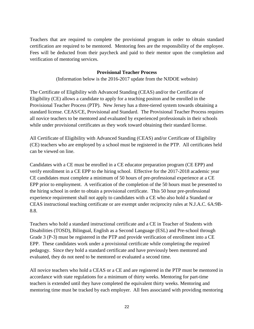Teachers that are required to complete the provisional program in order to obtain standard certification are required to be mentored. Mentoring fees are the responsibility of the employee. Fees will be deducted from their paycheck and paid to their mentor upon the completion and verification of mentoring services.

#### **Provisional Teacher Process**

(Information below is the 2016-2017 update from the NJDOE website)

The Certificate of Eligibility with Advanced Standing (CEAS) and/or the Certificate of Eligibility (CE) allows a candidate to apply for a teaching positon and be enrolled in the Provisional Teacher Process (PTP). New Jersey has a three-tiered system towards obtaining a standard license. CEAS/CE, Provisional and Standard. The Provisional Teacher Process requires all novice teachers to be mentored and evaluated by experienced professionals in their schools while under provisional certificates as they work toward obtaining their standard license.

All Certificate of Eligibility with Advanced Standing (CEAS) and/or Certificate of Eligibility (CE) teachers who are employed by a school must be registered in the PTP. All certificates held can be viewed on line.

Candidates with a CE must be enrolled in a CE educator preparation program (CE EPP) and verify enrollment in a CE EPP to the hiring school. Effective for the 2017-2018 academic year CE candidates must complete a minimum of 50 hours of pre-professional experience at a CE EPP prior to employment. A verification of the completion of the 50 hours must be presented to the hiring school in order to obtain a provisional certificate. This 50 hour pre-professional experience requirement shall not apply to candidates with a CE who also hold a Standard or CEAS instructional teaching certificate or are exempt under reciprocity rules at N.J.A.C. 6A:9B-8.8.

Teachers who hold a standard instructional certificate and a CE in Teacher of Students with Disabilities (TOSD), Bilingual, English as a Second Language (ESL) and Pre-school through Grade 3 (P-3) must be registered in the PTP and provide verification of enrollment into a CE EPP. These candidates work under a provisional certificate while completing the required pedagogy. Since they hold a standard certificate and have previously been mentored and evaluated, they do not need to be mentored or evaluated a second time.

All novice teachers who hold a CEAS or a CE and are registered in the PTP must be mentored in accordance with state regulations for a minimum of thirty weeks. Mentoring for part-time teachers is extended until they have completed the equivalent thirty weeks. Mentoring and mentoring time must be tracked by each employer. All fees associated with providing mentoring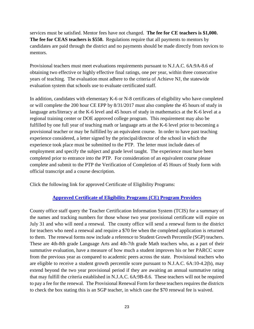services must be satisfied. Mentor fees have not changed. **The fee for CE teachers is \$1,000. The fee for CEAS teachers is \$550.** Regulations require that all payments to mentors by candidates are paid through the district and no payments should be made directly from novices to mentors.

Provisional teachers must meet evaluations requirements pursuant to N.J.A.C. 6A:9A-8.6 of obtaining two effective or highly effective final ratings, one per year, within three consecutive years of teaching. The evaluation must adhere to the criteria of Achieve NJ, the statewide evaluation system that schools use to evaluate certificated staff.

In addition, candidates with elementary K-6 or N-8 certificates of eligibility who have completed or will complete the 200 hour CE EPP by 8/31/2017 must also complete the 45 hours of study in language arts/literacy at the K-6 level and 45 hours of study in mathematics at the K-6 level at a regional training center or DOE approved college program. This requirement may also be fulfilled by one full year of teaching math or language arts at the K-6 level prior to becoming a provisional teacher or may be fulfilled by an equivalent course. In order to have past teaching experience considered, a letter signed by the principal/director of the school in which the experience took place must be submitted to the PTP. The letter must include dates of employment and specify the subject and grade level taught. The experience must have been completed prior to entrance into the PTP. For consideration of an equivalent course please complete and submit to the PTP the Verification of Completion of 45 Hours of Study form with official transcript and a course description.

Click the following link for approved Certificate of Eligibility Programs:

# **[Approved Certificate of Eligibility Programs \(CE\) Program Providers](https://www.nj.gov/education/rpi/preparation/docs/CE%20Educator%20Preparation%20Programs%20August%202019_et.pdf)**

County office staff query the Teacher Certification Information System (TCIS) for a summary of the names and tracking numbers for those whose two year provisional certificate will expire on July 31 and who will need a renewal. The county office will send a renewal form to the district for teachers who need a renewal and require a \$70 fee when the completed application is returned to them. The renewal forms now include a reference to Student Growth Percentile (SGP) teachers. These are 4th-8th grade Language Arts and 4th-7th grade Math teachers who, as a part of their summative evaluation, have a measure of how much a student improves his or her PARCC score from the previous year as compared to academic peers across the state. Provisional teachers who are eligible to receive a student growth percentile score pursuant to N.J.A.C. 6A:10-4.2(b), may extend beyond the two year provisional period if they are awaiting an annual summative rating that may fulfill the criteria established in N.J.A.C. 6A:9B-8.6. These teachers will not be required to pay a fee for the renewal. The Provisional Renewal Form for these teachers requires the districts to check the box stating this is an SGP teacher, in which case the \$70 renewal fee is waived.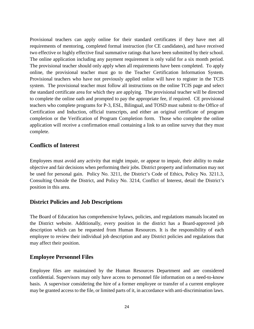Provisional teachers can apply online for their standard certificates if they have met all requirements of mentoring, completed formal instruction (for CE candidates), and have received two effective or highly effective final summative ratings that have been submitted by their school. The online application including any payment requirement is only valid for a six month period. The provisional teacher should only apply when all requirements have been completed. To apply online, the provisional teacher must go to the Teacher Certification Information System. Provisional teachers who have not previously applied online will have to register in the TCIS system. The provisional teacher must follow all instructions on the online TCIS page and select the standard certificate area for which they are applying. The provisional teacher will be directed to complete the online oath and prompted to pay the appropriate fee, if required. CE provisional teachers who complete programs for P-3, ESL, Bilingual, and TOSD must submit to the Office of Certification and Induction, official transcripts, and either an original certificate of program completion or the Verification of Program Completion form. Those who complete the online application will receive a confirmation email containing a link to an online survey that they must complete.

## **Conflicts of Interest**

Employees must avoid any activity that might impair, or appear to impair, their ability to make objective and fair decisions when performing their jobs. District property and information may not be used for personal gain. Policy No. 3211, the District's Code of Ethics, Policy No. 3211.3, Consulting Outside the District, and Policy No. 3214, Conflict of Interest, detail the District's position in this area.

# **District Policies and Job Descriptions**

The Board of Education has comprehensive bylaws, policies, and regulations manuals located on the District website. Additionally, every position in the district has a Board-approved job description which can be requested from Human Resources. It is the responsibility of each employee to review their individual job description and any District policies and regulations that may affect their position.

# **Employee Personnel Files**

Employee files are maintained by the Human Resources Department and are considered confidential. Supervisors may only have access to personnel file information on a need-to-know basis. A supervisor considering the hire of a former employee or transfer of a current employee may be granted access to the file, or limited parts of it, in accordance with anti-discrimination laws.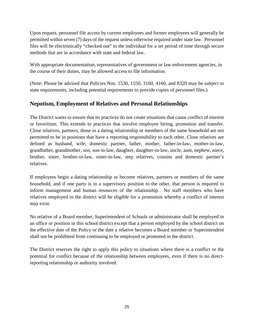Upon request, personnel file access by current employees and former employees will generally be permitted within seven (7) days of the request unless otherwise required under state law. Personnel files will be electronically "checked out" to the individual for a set period of time through secure methods that are in accordance with state and federal law.

With appropriate documentation, representatives of government or law enforcement agencies, in the course of their duties, may be allowed access to file information.

(Note: Please be advised that Policies Nos. 1530, 1550, 3160, 4160, and 8320 may be subject to state requirements, including potential requirements to provide copies of personnel files.)

# **Nepotism, Employment of Relatives and Personal Relationships**

The District wants to ensure that its practices do not create situations that cause conflict of interest or favoritism. This extends to practices that involve employee hiring, promotion and transfer. Close relatives, partners, those in a dating relationship or members of the same household are not permitted to be in positions that have a reporting responsibility to each other. Close relatives are defined as husband, wife, domestic partner, father, mother, father-in-law, mother-in-law, grandfather, grandmother, son, son-in-law, daughter, daughter-in-law, uncle, aunt, nephew, niece, brother, sister, brother-in-law, sister-in-law, step relatives, cousins and domestic partner's relatives.

If employees begin a dating relationship or become relatives, partners or members of the same household, and if one party is in a supervisory position to the other, that person is required to inform management and human resources of the relationship. No staff members who have relatives employed in the district will be eligible for a promotion whereby a conflict of interest may exist.

No relative of a Board member, Superintendent of Schools or administrator shall be employed in an office or position in this school district except that a person employed by the school district on the effective date of the Policy or the date a relative becomes a Board member or Superintendent shall not be prohibited from continuing to be employed or promoted in the district.

The District reserves the right to apply this policy to situations where there is a conflict or the potential for conflict because of the relationship between employees, even if there is no directreporting relationship or authority involved.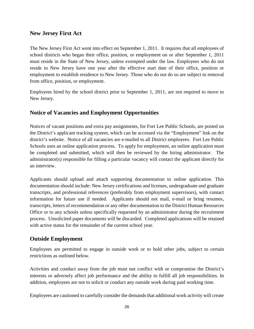## **New Jersey First Act**

The New Jersey First Act went into effect on September 1, 2011. It requires that all employees of school districts who began their office, position, or employment on or after September 1, 2011 must reside in the State of New Jersey, unless exempted under the law. Employees who do not reside in New Jersey have one year after the effective start date of their office, position or employment to establish residence to New Jersey. Those who do not do so are subject to removal from office, position, or employment.

Employees hired by the school district prior to September 1, 2011, are not required to move to New Jersey.

# **Notice of Vacancies and Employment Opportunities**

Notices of vacant positions and extra pay assignments, for Fort Lee Public Schools, are posted on the District's applicant tracking system, which can be accessed via the "Employment" link on the district's website. Notice of all vacancies are e-mailed to all District employees. Fort Lee Public Schools uses an [online application](http://www.applitrack.com/ridgewoodnj/onlineapp) process. To apply for employment, an online application must be completed and submitted, which will then be reviewed by the hiring administrator. The administrator(s) responsible for filling a particular vacancy will contact the applicant directly for an interview.

Applicants should upload and attach supporting documentation to online application. This documentation should include: New Jersey certifications and licenses, undergraduate and graduate transcripts, and professional references (preferably from employment supervisors), with contact information for future use if needed. Applicants should not mail, e-mail or bring resumes, transcripts, letters of recommendation or any other documentation to the District Human Resources Office or to any schools unless specifically requested by an administrator during the recruitment process. Unsolicited paper documents will be discarded. Completed applications will be retained with active status for the remainder of the current school year.

# **Outside Employment**

Employees are permitted to engage in outside work or to hold other jobs, subject to certain restrictions as outlined below.

Activities and conduct away from the job must not conflict with or compromise the District's interests or adversely affect job performance and the ability to fulfill all job responsibilities. In addition, employees are not to solicit or conduct any outside work during paid working time.

Employees are cautioned to carefully consider the demands that additional work activity will create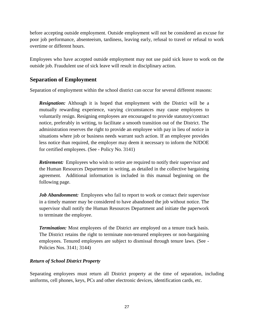before accepting outside employment. Outside employment will not be considered an excuse for poor job performance, absenteeism, tardiness, leaving early, refusal to travel or refusal to work overtime or different hours.

Employees who have accepted outside employment may not use paid sick leave to work on the outside job. Fraudulent use of sick leave will result in disciplinary action.

# **Separation of Employment**

Separation of employment within the school district can occur for several different reasons:

*Resignation:* Although it is hoped that employment with the District will be a mutually rewarding experience, varying circumstances may cause employees to voluntarily resign. Resigning employees are encouraged to provide statutory/contract notice, preferably in writing, to facilitate a smooth transition out of the District. The administration reserves the right to provide an employee with pay in lieu of notice in situations where job or business needs warrant such action. If an employee provides less notice than required, the employer may deem it necessary to inform the NJDOE for certified employees. (See - Policy No. 3141)

*Retirement:* Employees who wish to retire are required to notify their supervisor and the Human Resources Department in writing, as detailed in the collective bargaining agreement. Additional information is included in this manual beginning on the following page.

*Job Abandonment:* Employees who fail to report to work or contact their supervisor in a timely manner may be considered to have abandoned the job without notice. The supervisor shall notify the Human Resources Department and initiate the paperwork to terminate the employee.

*Termination:* Most employees of the District are employed on a tenure track basis. The District retains the right to terminate non-tenured employees or non-bargaining employees. Tenured employees are subject to dismissal through tenure laws. (See - Policies Nos. 3141; 3144)

## *Return of School District Property*

Separating employees must return all District property at the time of separation, including uniforms, cell phones, keys, PCs and other electronic devices, identification cards, etc.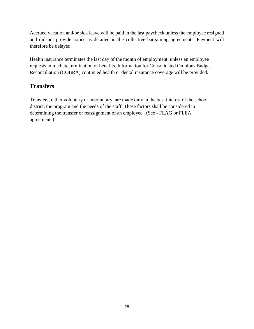Accrued vacation and/or sick leave will be paid in the last paycheck unless the employee resigned and did not provide notice as detailed in the collective bargaining agreements. Payment will therefore be delayed.

Health insurance terminates the last day of the month of employment, unless an employee requests immediate termination of benefits. Information for Consolidated Omnibus Budget Reconciliation (COBRA) continued health or dental insurance coverage will be provided.

# **Transfers**

Transfers, either voluntary or involuntary, are made only in the best interest of the school district, the program and the needs of the staff. These factors shall be considered in determining the transfer or reassignment of an employee. (See - FLAG or FLEA agreements)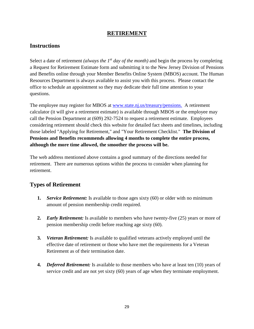# **RETIREMENT**

# **Instructions**

Select a date of retirement *(always the 1st day of the month)* and begin the process by completing a Request for Retirement Estimate form and submitting it to the New Jersey Division of Pensions and Benefits online through your Member Benefits Online System (MBOS) account*.* The Human Resources Department is always available to assist you with this process. Please contact the office to schedule an appointment so they may dedicate their full time attention to your questions.

The employee may register for MBOS at [www.state.nj.us/treasury/pensions.](http://www.state.nj.us/treasury/pensions) A retirement calculator (it will give a retirement estimate) is available through MBOS or the employee may call the Pension Department at (609) 292-7524 to request a retirement estimate. Employees considering retirement should check this website for detailed fact sheets and timelines, including those labeled "Applying for Retirement," and "Your Retirement Checklist." **The Division of Pensions and Benefits recommends allowing 4 months to complete the entire process, although the more time allowed, the smoother the process will be.**

The web address mentioned above contains a good summary of the directions needed for retirement. There are numerous options within the process to consider when planning for retirement.

# **Types of Retirement**

- **1.** *Service Retirement:* Is available to those ages sixty (60) or older with no minimum amount of pension membership credit required.
- **2.** *Early Retirement:* Is available to members who have twenty-five (25) years or more of pension membership credit before reaching age sixty (60).
- **3.** *Veteran Retirement:* Is available to qualified veterans actively employed until the effective date of retirement or those who have met the requirements for a Veteran Retirement as of their termination date.
- **4.** *Deferred Retirement:* Is available to those members who have at least ten (10) years of service credit and are not yet sixty (60) years of age when they terminate employment.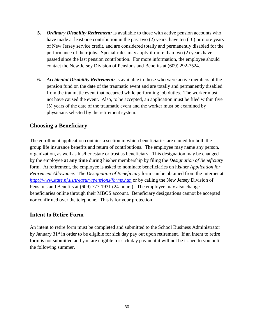- **5.** *Ordinary Disability Retirement:* Is available to those with active pension accounts who have made at least one contribution in the past two (2) years, have ten (10) or more years of New Jersey service credit, and are considered totally and permanently disabled for the performance of their jobs. Special rules may apply if more than two (2) years have passed since the last pension contribution. For more information, the employee should contact the New Jersey Division of Pensions and Benefits at (609) 292-7524.
- **6.** *Accidental Disability Retirement:* Is available to those who were active members of the pension fund on the date of the traumatic event and are totally and permanently disabled from the traumatic event that occurred while performing job duties. The worker must not have caused the event. Also, to be accepted, an application must be filed within five (5) years of the date of the traumatic event and the worker must be examined by physicians selected by the retirement system.

## **Choosing a Beneficiary**

The enrollment application contains a section in which beneficiaries are named for both the group life insurance benefits and return of contributions. The employee may name any person, organization, as well as his/her estate or trust as beneficiary. This designation may be changed by the employee **at any time** during his/her membership by filing the *Designation of Beneficiary*  form. At retirement, the employee is asked to nominate beneficiaries on his/her *Application for Retirement Allowance.* The *Designation of Beneficiary* form can be obtained from the Internet at *<http://www.state.nj.us/treasury/pensions/forms.htm>* or by calling the New Jersey Division of Pensions and Benefits at (609) 777-1931 (24-hours). The employee may also change beneficiaries online through their MBOS account. Beneficiary designations cannot be accepted nor confirmed over the telephone. This is for your protection.

## **Intent to Retire Form**

An intent to retire form must be completed and submitted to the School Business Administrator by January 31<sup>st</sup> in order to be eligible for sick day pay out upon retirement. If an intent to retire form is not submitted and you are eligible for sick day payment it will not be issued to you until the following summer.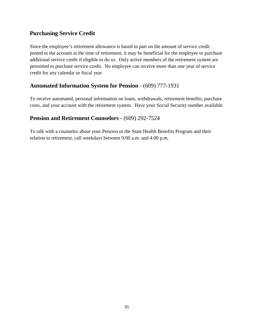# **Purchasing Service Credit**

Since the employee's retirement allowance is based in part on the amount of service credit posted to the account at the time of retirement, it may be beneficial for the employee to purchase additional service credit if eligible to do so. Only active members of the retirement system are permitted to purchase service credit. No employee can receive more than one year of service credit for any calendar or fiscal year.

# **Automated Information System for Pension -** (609) 777-1931

To receive automated, personal information on loans, withdrawals, retirement benefits, purchase costs, and your account with the retirement system. Have your Social Security number available.

# **Pension and Retirement Counselors -** (609) 292-7524

To talk with a counselor about your Pension or the State Health Benefits Program and their relation to retirement, call weekdays between 9:00 a.m. and 4:00 p.m.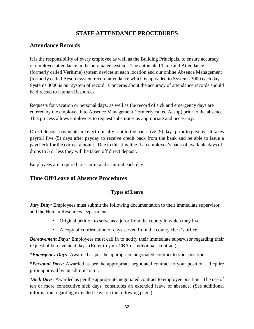# **STAFF ATTENDANCE PROCEDURES**

# **Attendance Records**

It is the responsibility of every employee as well as the Building Principals, to ensure accuracy of employee attendance in the automated system. The automated Time and Attendance (formerly called Veritime) system devices at each location and our online Absence Management (formerly called Aesop) system record attendance which is uploaded to Systems 3000 each day. Systems 3000 is our system of record. Concerns about the accuracy of attendance records should be directed to Human Resources.

Requests for vacation or personal days, as well as the record of sick and emergency days are entered by the employee into Absence Management (formerly called Aesop) prior to the absence. This process allows employees to request substitutes as appropriate and necessary.

Direct deposit payments are electronically sent to the bank five (5) days prior to payday. It takes payroll five (5) days after payday to receive credit back from the bank and be able to issue a paycheck for the correct amount. Due to this timeline if an employee's bank of available days off drops to 5 or less they will be taken off direct deposit.

Employees are required to scan-in and scan-out each day.

# **Time Off/Leave of Absence Procedures**

## **Types of Leave**

*Jury Duty:* Employees must submit the following documentation to their immediate supervisor and the Human Resources Department:

- Original petition to serve as a juror from the county in which they live;
- A copy of confirmation of days served from the county clerk's office.

*Bereavement Days:* Employees must call in to notify their immediate supervisor regarding their request of bereavement days. (Refer to your CBA or individuals contract)

*\*Emergency Days:* Awarded as per the appropriate negotiated contract to your position.

*\*Personal Days:* Awarded as per the appropriate negotiated contract to your position. Require prior approval by an administrator.

*\*Sick Days:* Awarded as per the appropriate negotiated contract to employee position. The use of ten or more consecutive sick days, constitutes an extended leave of absence. (See additional information regarding extended leave on the following page.)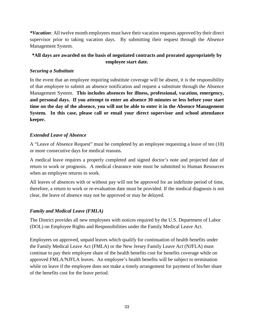*\*Vacation:* All twelve month employees must have their vacation requests approved by their direct supervisor prior to taking vacation days. By submitting their request through the Absence Management System.

## **\*All days are awarded on the basis of negotiated contracts and prorated appropriately by employee start date.**

## *Securing a Substitute*

In the event that an employee requiring substitute coverage will be absent, it is the responsibility of that employee to submit an absence notification and request a substitute through the Absence Management System. **This includes absences for illness, professional, vacation, emergency, and personal days. If you attempt to enter an absence 30 minutes or less before your start time on the day of the absence, you will not be able to enter it in the Absence Management System. In this case, please call or email your direct supervisor and school attendance keeper.**

## *Extended Leave of Absence*

A "Leave of Absence Request" must be completed by an employee requesting a leave of ten (10) or more consecutive days for medical reasons.

A medical leave requires a properly completed and signed doctor's note and projected date of return to work or prognosis. A medical clearance note must be submitted to Human Resources when an employee returns to work.

All leaves of absences with or without pay will not be approved for an indefinite period of time, therefore, a return to work or re-evaluation date must be provided. If the medical diagnosis is not clear, the leave of absence may not be approved or may be delayed.

## *Family and Medical Leave (FMLA)*

The District provides all new employees with notices required by the U.S. Department of Labor (DOL) o[n](http://www.dol.gov/whd/regs/compliance/posters/fmlaen.pdf) [Employee Rights and Responsibilities under](http://www.dol.gov/whd/regs/compliance/posters/fmlaen.pdf) the Family Medical Leave Act.

Employees on approved, unpaid leaves which qualify for continuation of health benefits under the Family Medical Leave Act (FMLA) or the New Jersey Family Leave Act (NJFLA) must continue to pay their employee share of the health benefits cost for benefits coverage while on approved FMLA/NJFLA leaves. An employee's health benefits will be subject to termination while on leave if the employee does not make a timely arrangement for payment of his/her share of the benefits cost for the leave period.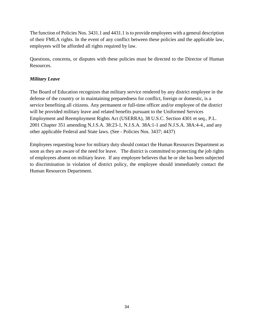The function of Policies Nos. 3431.1 and 4431.1 is to provide employees with a general description of their FMLA rights. In the event of any conflict between these policies and the applicable law, employees will be afforded all rights required by law.

Questions, concerns, or disputes with these policies must be directed to the Director of Human Resources.

## *Military Leave*

The Board of Education recognizes that military service rendered by any district employee in the defense of the country or in maintaining preparedness for conflict, foreign or domestic, is a service benefiting all citizens. Any permanent or full-time officer and/or employee of the district will be provided military leave and related benefits pursuant to the Uniformed Services Employment and Reemployment Rights Act (USERRA), 38 U.S.C. Section 4301 et seq., P.L. 2001 Chapter 351 amending N.J.S.A. 38:23-1, N.J.S.A. 38A:1-1 and N.J.S.A. 38A:4-4., and any other applicable Federal and State laws. (See - Policies Nos. 3437; 4437)

Employees requesting leave for military duty should contact the Human Resources Department as soon as they are aware of the need for leave. The district is committed to protecting the job rights of employees absent on military leave. If any employee believes that he or she has been subjected to discrimination in violation of district policy, the employee should immediately contact the Human Resources Department.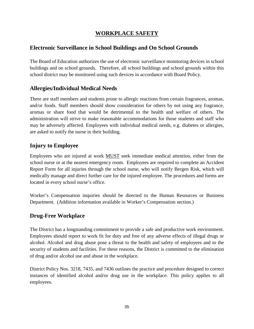# **WORKPLACE SAFETY**

# **Electronic Surveillance in School Buildings and On School Grounds**

The Board of Education authorizes the use of electronic surveillance monitoring devices in school buildings and on school grounds. Therefore, all school buildings and school grounds within this school district may be monitored using such devices in accordance with Board Policy.

# **Allergies/Individual Medical Needs**

There are staff members and students prone to allergic reactions from certain fragrances, aromas, and/or foods. Staff members should show consideration for others by not using any fragrance, aromas or share food that would be detrimental to the health and welfare of others. The administration will strive to make reasonable accommodations for those students and staff who may be adversely affected. Employees with individual medical needs, e.g. diabetes or allergies, are asked to notify the nurse in their building.

# **Injury to Employee**

Employees who are injured at work MUST seek immediate medical attention, either from the school nurse or at the nearest emergency room. Employees are required to complete an Accident Report Form for all injuries through the school nurse, who will notify Bergen Risk, which will medically manage and direct further care for the injured employee. The procedures and forms are located in every school nurse's office.

Worker's Compensation inquiries should be directed to the Human Resources or Business Department. (Addition information available in Worker's Compensation section.)

# **Drug-Free Workplace**

The District has a longstanding commitment to provide a safe and productive work environment. Employees should report to work fit for duty and free of any adverse effects of illegal drugs or alcohol. Alcohol and drug abuse pose a threat to the health and safety of employees and to the security of students and facilities. For these reasons, the District is committed to the elimination of drug and/or alcohol use and abuse in the workplace.

District Policy Nos. 3218, 7435, and 7436 outlines the practice and procedure designed to correct instances of identified alcohol and/or drug use in the workplace. This policy applies to all employees.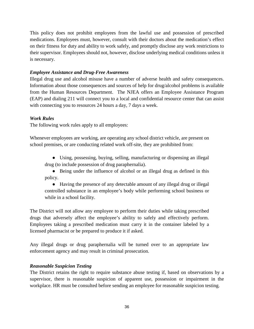This policy does not prohibit employees from the lawful use and possession of prescribed medications. Employees must, however, consult with their doctors about the medication's effect on their fitness for duty and ability to work safely, and promptly disclose any work restrictions to their supervisor. Employees should not, however, disclose underlying medical conditions unless it is necessary.

## *Employee Assistance and Drug-Free Awareness*

Illegal drug use and alcohol misuse have a number of adverse health and safety consequences. Information about those consequences and sources of help for drug/alcohol problems is available from the Human Resources Department. The NJEA offers an Employee Assistance Program (EAP) and dialing 211 will connect you to a local and confidential resource center that can assist with connecting you to resources 24 hours a day, 7 days a week.

## *Work Rules*

The following work rules apply to all employees:

Whenever employees are working, are operating any school district vehicle, are present on school premises, or are conducting related work off-site, they are prohibited from:

● Using, possessing, buying, selling, manufacturing or dispensing an illegal drug (to include possession of drug paraphernalia).

• Being under the influence of alcohol or an illegal drug as defined in this policy.

● Having the presence of any detectable amount of any illegal drug or illegal controlled substance in an employee's body while performing school business or while in a school facility.

The District will not allow any employee to perform their duties while taking prescribed drugs that adversely affect the employee's ability to safely and effectively perform. Employees taking a prescribed medication must carry it in the container labeled by a licensed pharmacist or be prepared to produce it if asked.

Any illegal drugs or drug paraphernalia will be turned over to an appropriate law enforcement agency and may result in criminal prosecution.

## *Reasonable Suspicion Testing*

The District retains the right to require substance abuse testing if, based on observations by a supervisor, there is reasonable suspicion of apparent use, possession or impairment in the workplace. HR must be consulted before sending an employee for reasonable suspicion testing.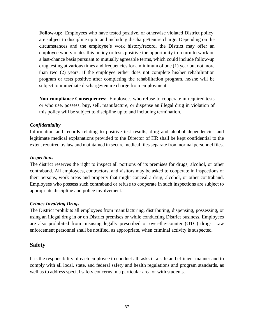**Follow-up**: Employees who have tested positive, or otherwise violated District policy, are subject to discipline up to and including discharge/tenure charge. Depending on the circumstances and the employee's work history/record, the District may offer an employee who violates this policy or tests positive the opportunity to return to work on a last-chance basis pursuant to mutually agreeable terms, which could include follow-up drug testing at various times and frequencies for a minimum of one (1) year but not more than two (2) years. If the employee either does not complete his/her rehabilitation program or tests positive after completing the rehabilitation program, he/she will be subject to immediate discharge/tenure charge from employment.

**Non-compliance Consequences:** Employees who refuse to cooperate in required tests or who use, possess, buy, sell, manufacture, or dispense an illegal drug in violation of this policy will be subject to discipline up to and including termination.

#### *Confidentiality*

Information and records relating to positive test results, drug and alcohol dependencies and legitimate medical explanations provided to the Director of HR shall be kept confidential to the extent required by law and maintained in secure medical files separate from normal personnel files.

#### *Inspections*

The district reserves the right to inspect all portions of its premises for drugs, alcohol, or other contraband. All employees, contractors, and visitors may be asked to cooperate in inspections of their persons, work areas and property that might conceal a drug, alcohol, or other contraband. Employees who possess such contraband or refuse to cooperate in such inspections are subject to appropriate discipline and police involvement.

## *Crimes Involving Drugs*

The District prohibits all employees from manufacturing, distributing, dispensing, possessing, or using an illegal drug in or on District premises or while conducting District business. Employees are also prohibited from misusing legally prescribed or over-the-counter (OTC) drugs. Law enforcement personnel shall be notified, as appropriate, when criminal activity is suspected.

## **Safety**

It is the responsibility of each employee to conduct all tasks in a safe and efficient manner and to comply with all local, state, and federal safety and health regulations and program standards, as well as to address special safety concerns in a particular area or with students.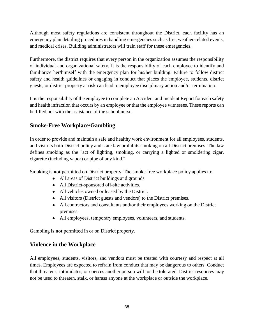Although most safety regulations are consistent throughout the District, each facility has an emergency plan detailing procedures in handling emergencies such as fire, weather-related events, and medical crises. Building administrators will train staff for these emergencies.

Furthermore, the district requires that every person in the organization assumes the responsibility of individual and organizational safety. It is the responsibility of each employee to identify and familiarize her/himself with the emergency plan for his/her building. Failure to follow district safety and health guidelines or engaging in conduct that places the employee, students, district guests, or district property at risk can lead to employee disciplinary action and/or termination.

It is the responsibility of the employee to complete an Accident and Incident Report for each safety and health infraction that occurs by an employee or that the employee witnesses. These reports can be filled out with the assistance of the school nurse.

# **Smoke-Free Workplace/Gambling**

In order to provide and maintain a safe and healthy work environment for all employees, students, and visitors both District policy and state law prohibits smoking on all District premises. The law defines smoking as the "act of lighting, smoking, or carrying a lighted or smoldering cigar, cigarette (including vapor) or pipe of any kind."

Smoking is **not** permitted on District property. The smoke-free workplace policy applies to:

- All areas of District buildings and grounds
- All District-sponsored off-site activities.
- All vehicles owned or leased by the District.
- All visitors (District guests and vendors) to the District premises.
- All contractors and consultants and/or their employees working on the District premises.
- All employees, temporary employees, volunteers, and students.

Gambling is **not** permitted in or on District property.

# **Violence in the Workplace**

All employees, students, visitors, and vendors must be treated with courtesy and respect at all times. Employees are expected to refrain from conduct that may be dangerous to others. Conduct that threatens, intimidates, or coerces another person will not be tolerated. District resources may not be used to threaten, stalk, or harass anyone at the workplace or outside the workplace.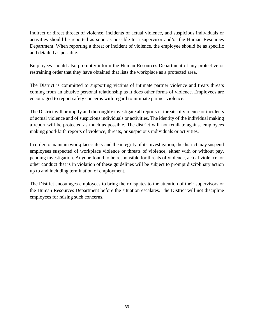Indirect or direct threats of violence, incidents of actual violence, and suspicious individuals or activities should be reported as soon as possible to a supervisor and/or the Human Resources Department. When reporting a threat or incident of violence, the employee should be as specific and detailed as possible.

Employees should also promptly inform the Human Resources Department of any protective or restraining order that they have obtained that lists the workplace as a protected area.

The District is committed to supporting victims of intimate partner violence and treats threats coming from an abusive personal relationship as it does other forms of violence. Employees are encouraged to report safety concerns with regard to intimate partner violence.

The District will promptly and thoroughly investigate all reports of threats of violence or incidents of actual violence and of suspicious individuals or activities. The identity of the individual making a report will be protected as much as possible. The district will not retaliate against employees making good-faith reports of violence, threats, or suspicious individuals or activities.

In order to maintain workplace safety and the integrity of its investigation, the district may suspend employees suspected of workplace violence or threats of violence, either with or without pay, pending investigation. Anyone found to be responsible for threats of violence, actual violence, or other conduct that is in violation of these guidelines will be subject to prompt disciplinary action up to and including termination of employment.

The District encourages employees to bring their disputes to the attention of their supervisors or the Human Resources Department before the situation escalates. The District will not discipline employees for raising such concerns.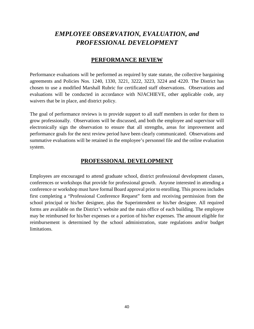# *EMPLOYEE OBSERVATION, EVALUATION, and PROFESSIONAL DEVELOPMENT*

# **PERFORMANCE REVIEW**

Performance evaluations will be performed as required by state statute, the collective bargaining agreements and Policies Nos. 1240, 1330, 3221, 3222, 3223, 3224 and 4220. The District has chosen to use a modified Marshall Rubric for certificated staff observations. Observations and evaluations will be conducted in accordance with NJACHIEVE, other applicable code, any waivers that be in place, and district policy.

The goal of performance reviews is to provide support to all staff members in order for them to grow professionally. Observations will be discussed, and both the employee and supervisor will electronically sign the observation to ensure that all strengths, areas for improvement and performance goals for the next review period have been clearly communicated. Observations and summative evaluations will be retained in the employee's personnel file and the online evaluation system.

# **PROFESSIONAL DEVELOPMENT**

Employees are encouraged to attend graduate school, district professional development classes, conferences or workshops that provide for professional growth. Anyone interested in attending a conference or workshop must have formal Board approval prior to enrolling. This process includes first completing a "Professional Conference Request" form and receiving permission from the school principal or his/her designee, plus the Superintendent or his/her designee. All required forms are available on the District's website and the main office of each building. The employee may be reimbursed for his/her expenses or a portion of his/her expenses. The amount eligible for reimbursement is determined by the school administration, state regulations and/or budget limitations.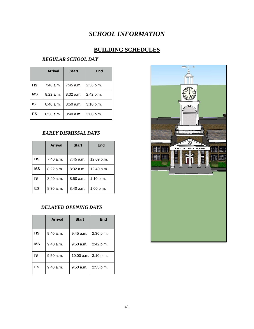# *SCHOOL INFORMATION*

# **BUILDING SCHEDULES**

# *REGULAR SCHOOL DAY*

|           | <b>Arrival</b> | <b>Start</b> | End       |
|-----------|----------------|--------------|-----------|
| <b>HS</b> | 7:40 a.m.      | 7:45 a.m.    | 2:36 p.m. |
| <b>MS</b> | $8:22$ a.m.    | 8:32 a.m.    | 2:42 p.m. |
| IS        | 8:40 a.m.      | 8:50a.m.     | 3:10 p.m. |
| ES        | $8:30$ a.m.    | 8:40 a.m.    | 3:00 p.m. |

## *EARLY DISMISSAL DAYS*

|           | <b>Arrival</b> | <b>Start</b> | End        |
|-----------|----------------|--------------|------------|
| HS        | 7:40 a.m.      | 7:45 a.m.    | 12:09 p.m. |
| <b>MS</b> | $8:22$ a.m.    | $8:32$ a.m.  | 12:40 p.m. |
| IS        | 8:40 a.m.      | 8:50 a.m.    | 1:10 p.m.  |
| <b>ES</b> | 8:30 a.m.      | 8:40 a.m.    | 1:00 p.m.  |

## *DELAYED OPENING DAYS*

|           | <b>Arrival</b> | <b>Start</b>         | End       |
|-----------|----------------|----------------------|-----------|
| <b>HS</b> | $9:40$ a.m.    | $9:45$ a.m.          | 2:36 p.m. |
| <b>MS</b> | $9:40$ a.m.    | $9:50$ a.m.          | 2:42 p.m. |
| IS        | $9:50$ a.m.    | 10:00 a.m. 3:10 p.m. |           |
| ES        | $9:40$ a.m.    | 9:50 a.m.            | 2:55 p.m. |

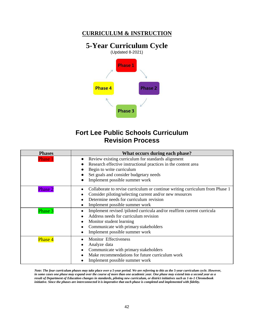# **CURRICULUM & INSTRUCTION**

# **5-Year Curriculum Cycle**



# **Fort Lee Public Schools Curriculum Revision Process**

| <b>Phases</b>  | What occurs during each phase?                                                                                                                                                                                                |  |  |
|----------------|-------------------------------------------------------------------------------------------------------------------------------------------------------------------------------------------------------------------------------|--|--|
| <b>Phase 1</b> | Review existing curriculum for standards alignment<br>Research effective instructional practices in the content area<br>Begin to write curriculum<br>Set goals and consider budgetary needs<br>Implement possible summer work |  |  |
| <b>Phase 2</b> | Collaborate to revise curriculum or continue writing curriculum from Phase 1<br>Consider piloting/selecting current and/or new resources<br>Determine needs for curriculum revision<br>Implement possible summer work         |  |  |
| Phase 3        | Implement revised /piloted curricula and/or reaffirm current curricula<br>Address needs for curriculum revision<br>Monitor student learning<br>Communicate with primary stakeholders<br>Implement possible summer work        |  |  |
| <b>Phase 4</b> | <b>Monitor Effectiveness</b><br>Analyze data<br>Communicate with primary stakeholders<br>Make recommendations for future curriculum work<br>Implement possible summer work                                                    |  |  |

*Note: The four curriculum phases may take place over a 5-year period. We are referring to this as the 5-year curriculum cycle. However, in some cases one phase may expand over the course of more than one academic year. One phase may extend into a second year as a result of Department of Education changes in standards, piloting new curriculum, or district initiatives such as 1-to-1 Chromebook initiative. Since the phases are interconnected it is imperative that each phase is completed and implemented with fidelity.*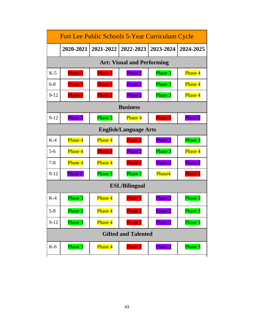| <b>Fort Lee Public Schools 5-Year Curriculum Cycle</b> |                                   |                |           |           |                |  |  |
|--------------------------------------------------------|-----------------------------------|----------------|-----------|-----------|----------------|--|--|
|                                                        | 2020-2021                         | 2021-2022      | 2022-2023 | 2023-2024 | 2024-2025      |  |  |
|                                                        | <b>Art: Visual and Performing</b> |                |           |           |                |  |  |
| $K-5$                                                  | Phase 1                           | Phase 1        | Phase 2   | Phase 3   | Phase 4        |  |  |
| $6 - 8$                                                | Phase 1                           | Phase 1        | Phase 2   | Phase 3   | Phase 4        |  |  |
| $9 - 12$                                               | Phase 1                           | <b>Phase 1</b> | Phase 2   | Phase 3   | Phase 4        |  |  |
|                                                        | <b>Business</b>                   |                |           |           |                |  |  |
| $9 - 12$                                               | Phase 2                           | Phase 3        | Phase 4   | Phase 1   | Phase 2        |  |  |
|                                                        | <b>English/Language Arts</b>      |                |           |           |                |  |  |
| $K-4$                                                  | Phase 4                           | Phase 4        | Phase 1   | Phase 2   | Phase 3        |  |  |
| $5 - 6$                                                | Phase 4                           | <b>Phase 1</b> | Phase 2   | Phase 3   | Phase 4        |  |  |
| $7 - 8$                                                | Phase 4                           | Phase 4        | Phase 1   | Phase 2   | Phase 2        |  |  |
| $9 - 12$                                               | Phase 2                           | Phase 3        | Phase 3   | Phase4    | <b>Phase 1</b> |  |  |
|                                                        | <b>ESL/Bilingual</b>              |                |           |           |                |  |  |
| $K-4$                                                  | Phase 3                           | Phase 4        | Phase 1   | Phase 2   | Phase 3        |  |  |
| $5 - 8$                                                | Phase 3                           | Phase 4        | Phase 1   | Phase 2   | Phase 3        |  |  |
| $9-12$                                                 | Phase 3                           | Phase 4        | Phase 1   | Phase 2   | Phase 3        |  |  |
| <b>Gifted and Talented</b>                             |                                   |                |           |           |                |  |  |
| $K-6$                                                  | Phase 3                           | Phase 4        | Phase 1   | Phase 2   | Phase 3        |  |  |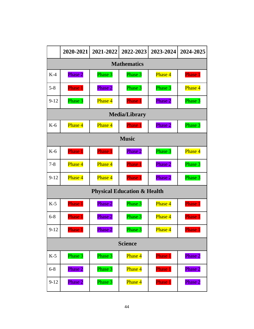|                    | 2020-2021          | 2021-2022 | 2022-2023                              | 2023-2024      | 2024-2025      |  |
|--------------------|--------------------|-----------|----------------------------------------|----------------|----------------|--|
| <b>Mathematics</b> |                    |           |                                        |                |                |  |
| $K-4$              | Phase 2            | Phase 3   | Phase 3                                | <b>Phase 4</b> | Phase 1        |  |
| $5 - 8$            | Phase 1            | Phase 2   | Phase 3                                | Phase 3        | Phase 4        |  |
| $9 - 12$           | Phase 3            | Phase 4   | <b>Phase 1</b>                         | Phase 2        | Phase 3        |  |
|                    |                    |           | <b>Media/Library</b>                   |                |                |  |
| $K-6$              | Phase 4            | Phase 4   | <b>Phase 1</b>                         | Phase 2        | Phase 3        |  |
|                    | <b>Music</b>       |           |                                        |                |                |  |
| $K-6$              | Phase 1            | Phase 1   | Phase 2                                | Phase 3        | Phase 4        |  |
| $7 - 8$            | Phase 4            | Phase 4   | <b>Phase 1</b>                         | Phase 2        | Phase 3        |  |
| $9 - 12$           | Phase 4            | Phase 4   | Phase 1                                | Phase 2        | Phase 3        |  |
|                    |                    |           | <b>Physical Education &amp; Health</b> |                |                |  |
| $K-5$              | <b>Phase 1</b>     | Phase 2   | Phase 3                                | Phase 4        | <b>Phase 1</b> |  |
| $6 - 8$            | Phase 1            | Phase 2   | Phase 3                                | Phase 4        | Phase 1        |  |
| $9 - 12$           | Phase 1            | Phase 2   | Phase 3                                | Phase 4        | <b>Phase 1</b> |  |
| <b>Science</b>     |                    |           |                                        |                |                |  |
| $K-5$              | Phase <sub>3</sub> | Phase 3   | Phase 4                                | Phase 1        | Phase 2        |  |
| $6 - 8$            | Phase 2            | Phase 3   | Phase 4                                | Phase 1        | Phase 2        |  |
| $9 - 12$           | Phase 2            | Phase 3   | Phase 4                                | Phase 1        | Phase 2        |  |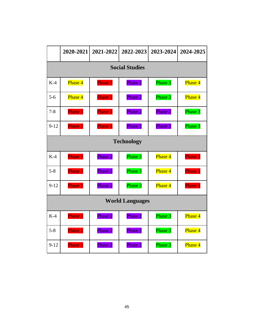|                        | 2020-2021             | 2021-2022          | 2022-2023 | 2023-2024 | 2024-2025          |  |
|------------------------|-----------------------|--------------------|-----------|-----------|--------------------|--|
|                        | <b>Social Studies</b> |                    |           |           |                    |  |
| $K-4$                  | Phase 4               | Phase 1            | Phase 2   | Phase 3   | Phase 4            |  |
| $5 - 6$                | Phase 4               | Phase 1            | Phase 2   | Phase 3   | Phase 4            |  |
| $7 - 8$                | Phase 1               | Phase 1            | Phase 2   | Phase 2   | Phase 3            |  |
| $9 - 12$               | Phase 1               | <b>Phase 1</b>     | Phase 2   | Phase 2   | Phase 3            |  |
|                        | <b>Technology</b>     |                    |           |           |                    |  |
| $K-4$                  | Phase 1               | Phase 2            | Phase 3   | Phase 4   | <b>Phase 1</b>     |  |
| $5 - 8$                | Phase 1               | Phase 2            | Phase 3   | Phase 4   | Phase <sub>1</sub> |  |
| $9 - 12$               | Phase 1               | Phase <sub>2</sub> | Phase 3   | Phase 4   | Phase 1            |  |
| <b>World Languages</b> |                       |                    |           |           |                    |  |
| $K-4$                  | Phase 1               | Phase 2            | Phase 2   | Phase 3   | Phase 4            |  |
| $5 - 8$                | Phase 1               | Phase 2            | Phase 2   | Phase 3   | Phase 4            |  |
| $9-12$                 | Phase 1               | Phase 2            | Phase 2   | Phase 3   | Phase 4            |  |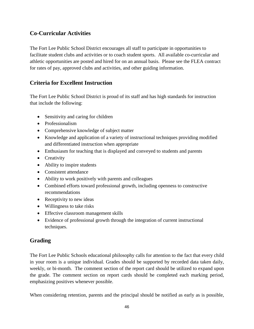# **Co-Curricular Activities**

The Fort Lee Public School District encourages all staff to participate in opportunities to facilitate student clubs and activities or to coach student sports. All available co-curricular and athletic opportunities are posted and hired for on an annual basis. Please see the FLEA contract for rates of pay, approved clubs and activities, and other guiding information.

# **Criteria for Excellent Instruction**

The Fort Lee Public School District is proud of its staff and has high standards for instruction that include the following:

- Sensitivity and caring for children
- Professionalism
- Comprehensive knowledge of subject matter
- Knowledge and application of a variety of instructional techniques providing modified and differentiated instruction when appropriate
- Enthusiasm for teaching that is displayed and conveyed to students and parents
- Creativity
- Ability to inspire students
- Consistent attendance
- Ability to work positively with parents and colleagues
- Combined efforts toward professional growth, including openness to constructive recommendations
- Receptivity to new ideas
- Willingness to take risks
- Effective classroom management skills
- Evidence of professional growth through the integration of current instructional techniques.

# **Grading**

The Fort Lee Public Schools educational philosophy calls for attention to the fact that every child in your room is a unique individual. Grades should be supported by recorded data taken daily, weekly, or bi-month. The comment section of the report card should be utilized to expand upon the grade. The comment section on report cards should be completed each marking period, emphasizing positives whenever possible.

When considering retention, parents and the principal should be notified as early as is possible,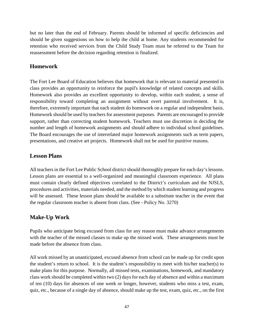but no later than the end of February. Parents should be informed of specific deficiencies and should be given suggestions on how to help the child at home. Any students recommended for retention who received services from the Child Study Team must be referred to the Team for reassessment before the decision regarding retention is finalized.

# **Homework**

The Fort Lee Board of Education believes that homework that is relevant to material presented in class provides an opportunity to reinforce the pupil's knowledge of related concepts and skills. Homework also provides an excellent opportunity to develop, within each student, a sense of responsibility toward completing an assignment without overt parental involvement. It is, therefore, extremely important that each student do homework on a regular and independent basis. Homework should be used by teachers for assessment purposes. Parents are encouraged to provide support, rather than correcting student homework. Teachers must use discretion in deciding the number and length of homework assignments and should adhere to individual school guidelines. The Board encourages the use of interrelated major homework assignments such as term papers, presentations, and creative art projects. Homework shall not be used for punitive reasons.

## **Lesson Plans**

All teachers in the Fort Lee Public School district should thoroughly prepare for each day's lessons. Lesson plans are essential to a well-organized and meaningful classroom experience. All plans must contain clearly defined objectives correlated to the District's curriculum and the NJSLS, procedures and activities, materials needed, and the method by which student learning and progress will be assessed. These lesson plans should be available to a substitute teacher in the event that the regular classroom teacher is absent from class. (See - Policy No. 3270)

# **Make-Up Work**

Pupils who anticipate being excused from class for any reason must make advance arrangements with the teacher of the missed classes to make up the missed work. These arrangements must be made before the absence from class.

All work missed by an unanticipated, excused absence from school can be made up for credit upon the student's return to school. It is the student's responsibility to meet with his/her teacher(s) to make plans for this purpose. Normally, all missed tests, examinations, homework, and mandatory class work should be completed within two (2) days for each day of absence and within a maximum of ten (10) days for absences of one week or longer, however, students who miss a test, exam, quiz, etc., because of a single day of absence, should make up the test, exam, quiz, etc., on the first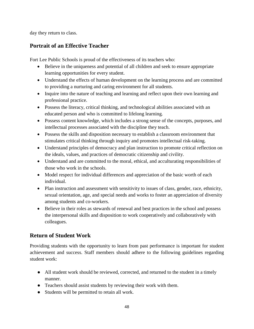day they return to class.

# **Portrait of an Effective Teacher**

Fort Lee Public Schools is proud of the effectiveness of its teachers who:

- Believe in the uniqueness and potential of all children and seek to ensure appropriate learning opportunities for every student.
- Understand the effects of human development on the learning process and are committed to providing a nurturing and caring environment for all students.
- Inquire into the nature of teaching and learning and reflect upon their own learning and professional practice.
- Possess the literacy, critical thinking, and technological abilities associated with an educated person and who is committed to lifelong learning.
- Possess content knowledge, which includes a strong sense of the concepts, purposes, and intellectual processes associated with the discipline they teach.
- Possess the skills and disposition necessary to establish a classroom environment that stimulates critical thinking through inquiry and promotes intellectual risk-taking.
- Understand principles of democracy and plan instruction to promote critical reflection on the ideals, values, and practices of democratic citizenship and civility.
- Understand and are committed to the moral, ethical, and acculturating responsibilities of those who work in the schools.
- Model respect for individual differences and appreciation of the basic worth of each individual.
- Plan instruction and assessment with sensitivity to issues of class, gender, race, ethnicity, sexual orientation, age, and special needs and works to foster an appreciation of diversity among students and co-workers.
- Believe in their roles as stewards of renewal and best practices in the school and possess the interpersonal skills and disposition to work cooperatively and collaboratively with colleagues.

# **Return of Student Work**

Providing students with the opportunity to learn from past performance is important for student achievement and success. Staff members should adhere to the following guidelines regarding student work:

- All student work should be reviewed, corrected, and returned to the student in a timely manner.
- Teachers should assist students by reviewing their work with them.
- Students will be permitted to retain all work.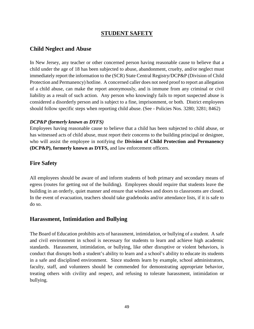# **STUDENT SAFETY**

## **Child Neglect and Abuse**

In New Jersey, any teacher or other concerned person having reasonable cause to believe that a child under the age of 18 has been subjected to abuse, abandonment, cruelty, and/or neglect must immediately report the information to the (SCR) State Central Registry/DCP&P (Division of Child Protection and Permanency) hotline. A concerned caller does not need proof to report an allegation of a child abuse, can make the report anonymously, and is immune from any criminal or civil liability as a result of such action. Any person who knowingly fails to report suspected abuse is considered a disorderly person and is subject to a fine, imprisonment, or both. District employees should follow specific steps when reporting child abuse. (See - Policies Nos. 3280; 3281; 8462)

## *DCP&P (formerly known as DYFS)*

Employees having reasonable cause to believe that a child has been subjected to child abuse, or has witnessed acts of child abuse, must report their concerns to the building principal or designee, who will assist the employee in notifying the **Division of Child Protection and Permanency (DCP&P), formerly known as DYFS,** and law enforcement officers.

## **Fire Safety**

All employees should be aware of and inform students of both primary and secondary means of egress (routes for getting out of the building). Employees should require that students leave the building in an orderly, quiet manner and ensure that windows and doors to classrooms are closed. In the event of evacuation, teachers should take gradebooks and/or attendance lists, if it is safe to do so.

## **Harassment, Intimidation and Bullying**

The Board of Education prohibits acts of harassment, intimidation, or bullying of a student. A safe and civil environment in school is necessary for students to learn and achieve high academic standards. Harassment, intimidation, or bullying, like other disruptive or violent behaviors, is conduct that disrupts both a student's ability to learn and a school's ability to educate its students in a safe and disciplined environment. Since students learn by example, school administrators, faculty, staff, and volunteers should be commended for demonstrating appropriate behavior, treating others with civility and respect, and refusing to tolerate harassment, intimidation or bullying.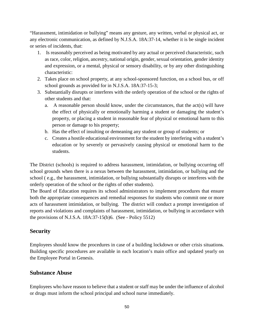"Harassment, intimidation or bullying" means any gesture, any written, verbal or physical act, or any electronic communication, as defined by N.J.S.A. 18A:37-14, whether it is be single incident or series of incidents, that:

- 1. Is reasonably perceived as being motivated by any actual or perceived characteristic, such as race, color, religion, ancestry, national origin, gender, sexual orientation, gender identity and expression, or a mental, physical or sensory disability, or by any other distinguishing characteristic:
- 2. Takes place on school property, at any school-sponsored function, on a school bus, or off school grounds as provided for in N.J.S.A. 18A:37-15-3;
- 3. Substantially disrupts or interferes with the orderly operation of the school or the rights of other students and that:
	- a. A reasonable person should know, under the circumstances, that the act(s) will have the effect of physically or emotionally harming a student or damaging the student's property, or placing a student in reasonable fear of physical or emotional harm to this person or damage to his property;
	- b. Has the effect of insulting or demeaning any student or group of students; or
	- c. Creates a hostile educational environment for the student by interfering with a student's education or by severely or pervasively causing physical or emotional harm to the students.

The District (schools) is required to address harassment, intimidation, or bullying occurring off school grounds when there is a nexus between the harassment, intimidation, or bullying and the school ( e.g., the harassment, intimidation, or bullying substantially disrupts or interferes with the orderly operation of the school or the rights of other students).

The Board of Education requires its school administrators to implement procedures that ensure both the appropriate consequences and remedial responses for students who commit one or more acts of harassment intimidation, or bullying. The district will conduct a prompt investigation of reports and violations and complaints of harassment, intimidation, or bullying in accordance with the provisions of N.J.S.A. 18A:37-15(b)6. (See - Policy 5512)

# **Security**

Employees should know the procedures in case of a building lockdown or other crisis situations. Building specific procedures are available in each location's main office and updated yearly on the Employee Portal in Genesis.

# **Substance Abuse**

Employees who have reason to believe that a student or staff may be under the influence of alcohol or drugs must inform the school principal and school nurse immediately.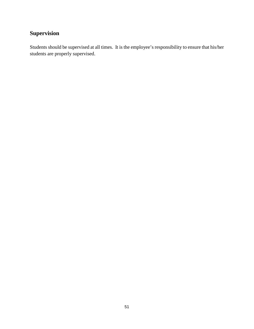# **Supervision**

Students should be supervised at all times. It is the employee's responsibility to ensure that his/her students are properly supervised.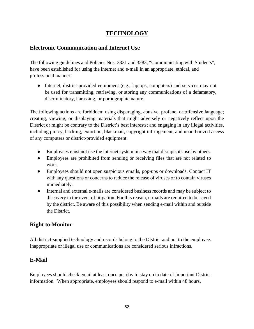# **TECHNOLOGY**

# **Electronic Communication and Internet Use**

The following guidelines and Policies Nos. 3321 and 3283, "Communicating with Students", have been established for using the internet and e-mail in an appropriate, ethical, and professional manner:

• Internet, district-provided equipment (e.g., laptops, computers) and services may not be used for transmitting, retrieving, or storing any communications of a defamatory, discriminatory, harassing, or pornographic nature.

The following actions are forbidden: using disparaging, abusive, profane, or offensive language; creating, viewing, or displaying materials that might adversely or negatively reflect upon the District or might be contrary to the District's best interests; and engaging in any illegal activities, including piracy, hacking, extortion, blackmail, copyright infringement, and unauthorized access of any computers or district-provided equipment.

- Employees must not use the internet system in a way that disrupts its use by others.
- Employees are prohibited from sending or receiving files that are not related to work.
- Employees should not open suspicious emails, pop-ups or downloads. Contact IT with any questions or concerns to reduce the release of viruses or to contain viruses immediately.
- Internal and external e-mails are considered business records and may be subject to discovery in the event of litigation. For this reason, e-mails are required to be saved by the district. Be aware of this possibility when sending e-mail within and outside the District.

# **Right to Monitor**

All district-supplied technology and records belong to the District and not to the employee. Inappropriate or illegal use or communications are considered serious infractions.

# **E-Mail**

Employees should check email at least once per day to stay up to date of important District information. When appropriate, employees should respond to e-mail within 48 hours.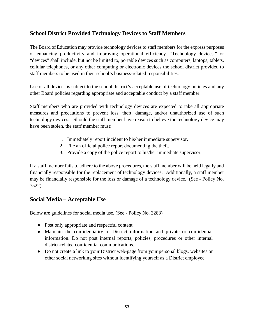# **School District Provided Technology Devices to Staff Members**

The Board of Education may provide technology devices to staff members for the express purposes of enhancing productivity and improving operational efficiency. "Technology devices," or "devices" shall include, but not be limited to, portable devices such as computers, laptops, tablets, cellular telephones, or any other computing or electronic devices the school district provided to staff members to be used in their school's business-related responsibilities.

Use of all devices is subject to the school district's acceptable use of technology policies and any other Board policies regarding appropriate and acceptable conduct by a staff member.

Staff members who are provided with technology devices are expected to take all appropriate measures and precautions to prevent loss, theft, damage, and/or unauthorized use of such technology devices. Should the staff member have reason to believe the technology device may have been stolen, the staff member must:

- 1. Immediately report incident to his/her immediate supervisor.
- 2. File an official police report documenting the theft.
- 3. Provide a copy of the police report to his/her immediate supervisor.

If a staff member fails to adhere to the above procedures, the staff member will be held legally and financially responsible for the replacement of technology devices. Additionally, a staff member may be financially responsible for the loss or damage of a technology device. (See - Policy No. 7522)

# **Social Media – Acceptable Use**

Below are guidelines for social media use. (See - Policy No. 3283)

- Post only appropriate and respectful content.
- Maintain the confidentiality of District information and private or confidential information. Do not post internal reports, policies, procedures or other internal district-related confidential communications.
- Do not create a link to your District web-page from your personal blogs, websites or other social networking sites without identifying yourself as a District employee.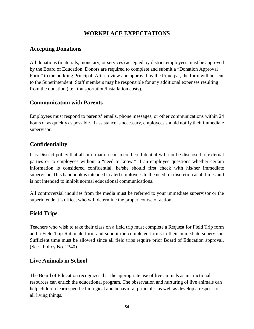# **WORKPLACE EXPECTATIONS**

# **Accepting Donations**

All donations (materials, monetary, or services) accepted by district employees must be approved by the Board of Education. Donors are required to complete and submit a "Donation Approval Form" to the building Principal. After review and approval by the Principal, the form will be sent to the Superintendent. Staff members may be responsible for any additional expenses resulting from the donation (i.e., transportation/installation costs).

# **Communication with Parents**

Employees must respond to parents' emails, phone messages, or other communications within 24 hours or as quickly as possible. If assistance is necessary, employees should notify their immediate supervisor.

# **Confidentiality**

It is District policy that all information considered confidential will not be disclosed to external parties or to employees without a "need to know." If an employee questions whether certain information is considered confidential, he/she should first check with his/her immediate supervisor. This handbook is intended to alert employees to the need for discretion at all times and is not intended to inhibit normal educational communications.

All controversial inquiries from the media must be referred to your immediate supervisor or the superintendent's office, who will determine the proper course of action.

# **Field Trips**

Teachers who wish to take their class on a field trip must complete a Request for Field Trip form and a Field Trip Rationale form and submit the completed forms to their immediate supervisor. Sufficient time must be allowed since all field trips require prior Board of Education approval. (See - Policy No. 2340)

## **Live Animals in School**

The Board of Education recognizes that the appropriate use of live animals as instructional resources can enrich the educational program. The observation and nurturing of live animals can help children learn specific biological and behavioral principles as well as develop a respect for all living things.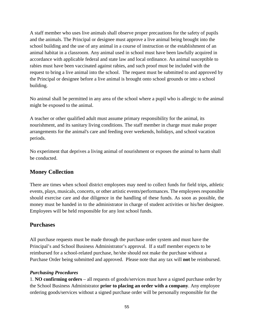A staff member who uses live animals shall observe proper precautions for the safety of pupils and the animals. The Principal or designee must approve a live animal being brought into the school building and the use of any animal in a course of instruction or the establishment of an animal habitat in a classroom. Any animal used in school must have been lawfully acquired in accordance with applicable federal and state law and local ordinance. An animal susceptible to rabies must have been vaccinated against rabies, and such proof must be included with the request to bring a live animal into the school. The request must be submitted to and approved by the Principal or designee before a live animal is brought onto school grounds or into a school building.

No animal shall be permitted in any area of the school where a pupil who is allergic to the animal might be exposed to the animal.

A teacher or other qualified adult must assume primary responsibility for the animal, its nourishment, and its sanitary living conditions. The staff member in charge must make proper arrangements for the animal's care and feeding over weekends, holidays, and school vacation periods.

No experiment that deprives a living animal of nourishment or exposes the animal to harm shall be conducted.

# **Money Collection**

There are times when school district employees may need to collect funds for field trips, athletic events, plays, musicals, concerts, or other artistic events/performances. The employees responsible should exercise care and due diligence in the handling of these funds. As soon as possible, the money must be handed in to the administrator in charge of student activities or his/her designee. Employees will be held responsible for any lost school funds.

# **Purchases**

All purchase requests must be made through the purchase order system and must have the Principal's and School Business Administrator's approval. If a staff member expects to be reimbursed for a school-related purchase, he/she should not make the purchase without a Purchase Order being submitted and approved. Please note that any tax will **not** be reimbursed.

## *Purchasing Procedures*

1. **NO confirming orders** – all requests of goods/services must have a signed purchase order by the School Business Administrator **prior to placing an order with a company**. Any employee ordering goods/services without a signed purchase order will be personally responsible for the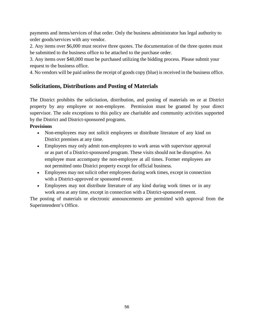payments and items/services of that order. Only the business administrator has legal authority to order goods/services with any vendor.

2. Any items over \$6,000 must receive three quotes. The documentation of the three quotes must be submitted to the business office to be attached to the purchase order.

3. Any items over \$40,000 must be purchased utilizing the bidding process. Please submit your request to the business office.

4. No vendors will be paid unless the receipt of goods copy (blue) is received in the business office.

# **Solicitations, Distributions and Posting of Materials**

The District prohibits the solicitation, distribution, and posting of materials on or at District property by any employee or non-employee. Permission must be granted by your direct supervisor. The sole exceptions to this policy are charitable and community activities supported by the District and District-sponsored programs.

## **Provisions**

- Non-employees may not solicit employees or distribute literature of any kind on District premises at any time.
- Employees may only admit non-employees to work areas with supervisor approval or as part of a District-sponsored program. These visits should not be disruptive. An employee must accompany the non-employee at all times. Former employees are not permitted onto District property except for official business.
- Employees may not solicit other employees during work times, except in connection with a District-approved or sponsored event.
- Employees may not distribute literature of any kind during work times or in any work area at any time, except in connection with a District-sponsored event.

The posting of materials or electronic announcements are permitted with approval from the Superintendent's Office.